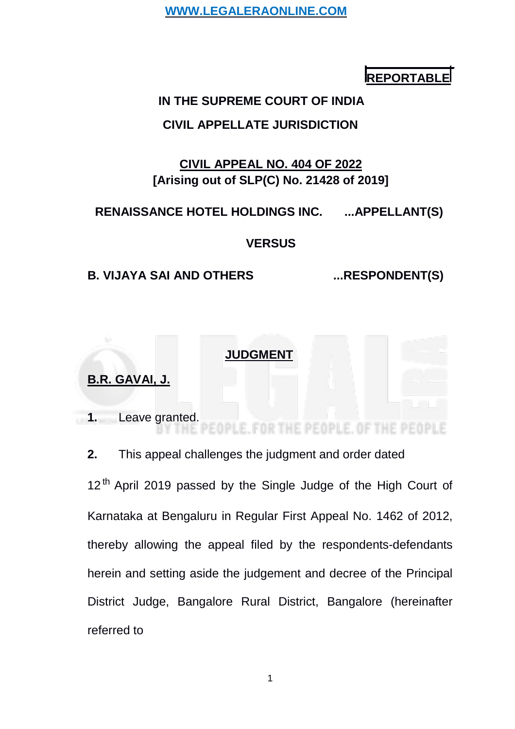**REPORTABLE**

# **IN THE SUPREME COURT OF INDIA**

# **CIVIL APPELLATE JURISDICTION**

# **CIVIL APPEAL NO. 404 OF 2022 [Arising out of SLP(C) No. 21428 of 2019]**

# **RENAISSANCE HOTEL HOLDINGS INC. ...APPELLANT(S)**

# **VERSUS**

# **B. VIJAYA SAI AND OTHERS ...RESPONDENT(S)**

# **JUDGMENT**

# **B.R. GAVAI, J.**

**1.** Leave granted. FOR THE PE THE PEOPLE

**2.** This appeal challenges the judgment and order dated

12<sup>th</sup> April 2019 passed by the Single Judge of the High Court of Karnataka at Bengaluru in Regular First Appeal No. 1462 of 2012, thereby allowing the appeal filed by the respondents-defendants herein and setting aside the judgement and decree of the Principal District Judge, Bangalore Rural District, Bangalore (hereinafter referred to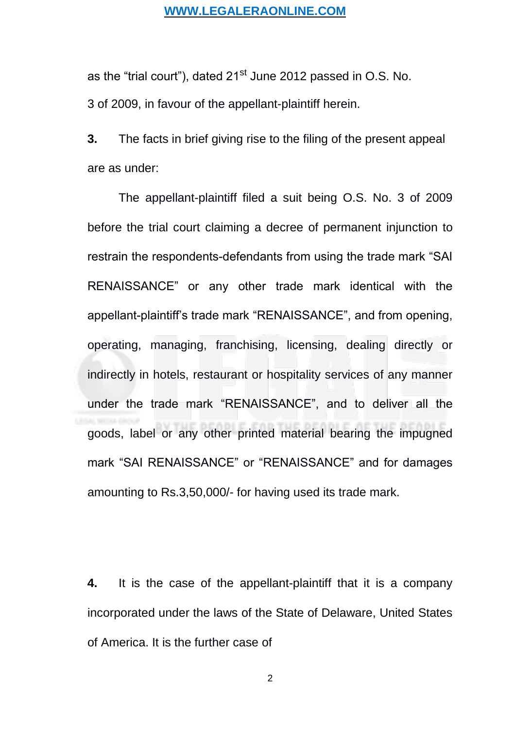as the "trial court"), dated 21<sup>st</sup> June 2012 passed in O.S. No. 3 of 2009, in favour of the appellant-plaintiff herein.

**3.** The facts in brief giving rise to the filing of the present appeal are as under:

The appellant-plaintiff filed a suit being O.S. No. 3 of 2009 before the trial court claiming a decree of permanent injunction to restrain the respondents-defendants from using the trade mark "SAI RENAISSANCE" or any other trade mark identical with the appellant-plaintiff's trade mark "RENAISSANCE", and from opening, operating, managing, franchising, licensing, dealing directly or indirectly in hotels, restaurant or hospitality services of any manner under the trade mark "RENAISSANCE", and to deliver all the goods, label or any other printed material bearing the impugned mark "SAI RENAISSANCE" or "RENAISSANCE" and for damages amounting to Rs.3,50,000/- for having used its trade mark.

**4.** It is the case of the appellant-plaintiff that it is a company incorporated under the laws of the State of Delaware, United States of America. It is the further case of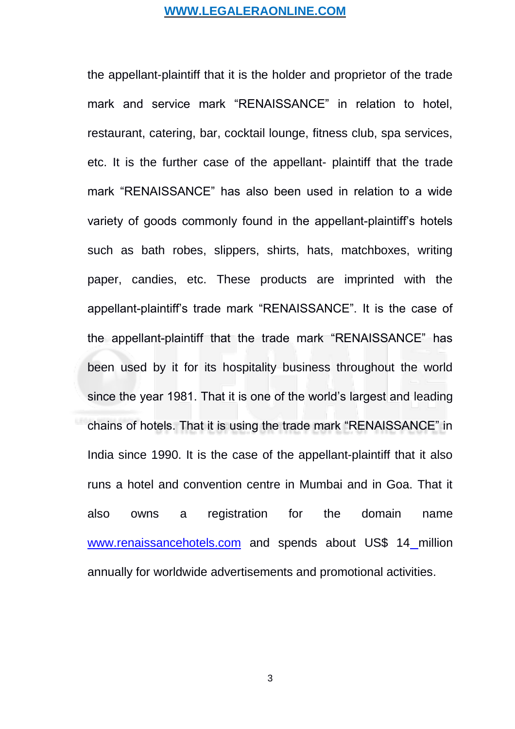the appellant-plaintiff that it is the holder and proprietor of the trade mark and service mark "RENAISSANCE" in relation to hotel, restaurant, catering, bar, cocktail lounge, fitness club, spa services, etc. It is the further case of the appellant- plaintiff that the trade mark "RENAISSANCE" has also been used in relation to a wide variety of goods commonly found in the appellant-plaintiff's hotels such as bath robes, slippers, shirts, hats, matchboxes, writing paper, candies, etc. These products are imprinted with the appellant-plaintiff's trade mark "RENAISSANCE". It is the case of the appellant-plaintiff that the trade mark "RENAISSANCE" has been used by it for its hospitality business throughout the world since the year 1981. That it is one of the world's largest and leading chains of hotels. That it is using the trade mark "RENAISSANCE" in India since 1990. It is the case of the appellant-plaintiff that it also runs a hotel and convention centre in Mumbai and in Goa. That it also owns a registration for the domain name [www.renaissancehotels.com](http://www.renaissancehotels.com/) and spends about US\$ 14 million annually for worldwide advertisements and promotional activities.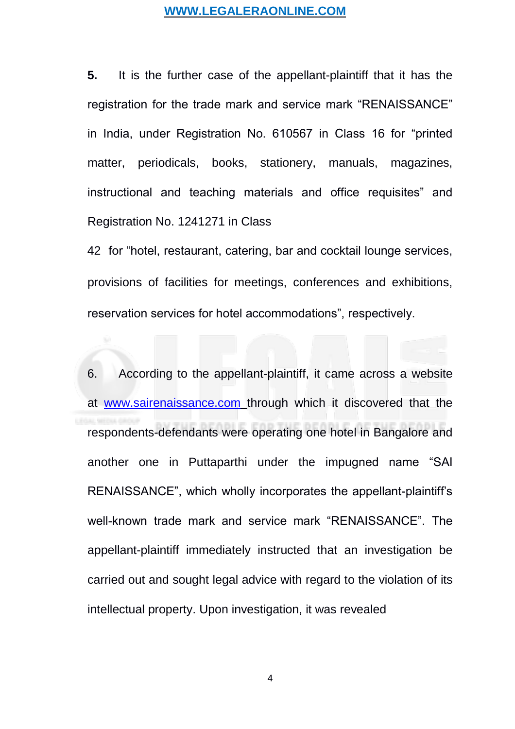**5.** It is the further case of the appellant-plaintiff that it has the registration for the trade mark and service mark "RENAISSANCE" in India, under Registration No. 610567 in Class 16 for "printed matter, periodicals, books, stationery, manuals, magazines, instructional and teaching materials and office requisites" and Registration No. 1241271 in Class

42 for "hotel, restaurant, catering, bar and cocktail lounge services, provisions of facilities for meetings, conferences and exhibitions, reservation services for hotel accommodations", respectively.

6. According to the appellant-plaintiff, it came across a website at [www.sairenaissance.com](http://www.sairenaissance.com/) through which it discovered that the respondents-defendants were operating one hotel in Bangalore and another one in Puttaparthi under the impugned name "SAI RENAISSANCE", which wholly incorporates the appellant-plaintiff's well-known trade mark and service mark "RENAISSANCE". The appellant-plaintiff immediately instructed that an investigation be carried out and sought legal advice with regard to the violation of its intellectual property. Upon investigation, it was revealed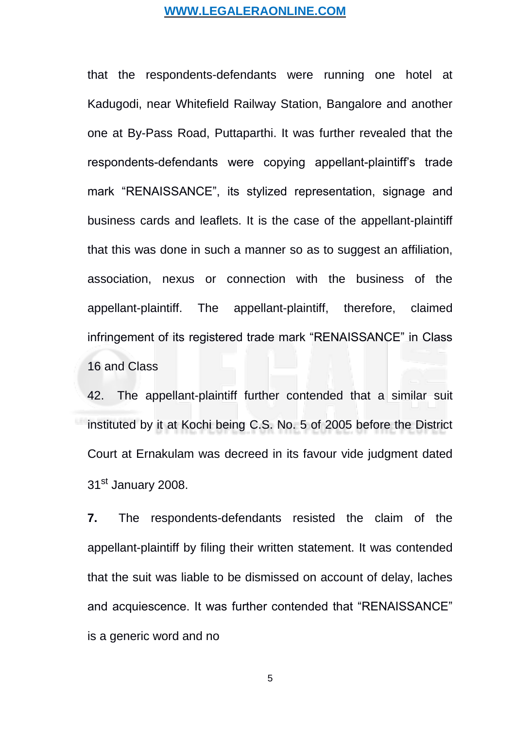that the respondents-defendants were running one hotel at Kadugodi, near Whitefield Railway Station, Bangalore and another one at By-Pass Road, Puttaparthi. It was further revealed that the respondents-defendants were copying appellant-plaintiff's trade mark "RENAISSANCE", its stylized representation, signage and business cards and leaflets. It is the case of the appellant-plaintiff that this was done in such a manner so as to suggest an affiliation, association, nexus or connection with the business of the appellant-plaintiff. The appellant-plaintiff, therefore, claimed infringement of its registered trade mark "RENAISSANCE" in Class 16 and Class

42. The appellant-plaintiff further contended that a similar suit instituted by it at Kochi being C.S. No. 5 of 2005 before the District Court at Ernakulam was decreed in its favour vide judgment dated 31st January 2008.

**7.** The respondents-defendants resisted the claim of the appellant-plaintiff by filing their written statement. It was contended that the suit was liable to be dismissed on account of delay, laches and acquiescence. It was further contended that "RENAISSANCE" is a generic word and no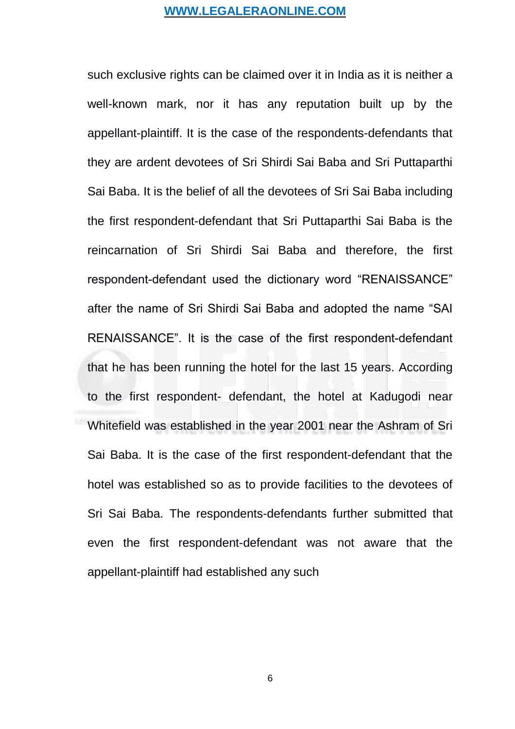such exclusive rights can be claimed over it in India as it is neither a well-known mark, nor it has any reputation built up by the appellant-plaintiff. It is the case of the respondents-defendants that they are ardent devotees of Sri Shirdi Sai Baba and Sri Puttaparthi Sai Baba. It is the belief of all the devotees of Sri Sai Baba including the first respondent-defendant that Sri Puttaparthi Sai Baba is the reincarnation of Sri Shirdi Sai Baba and therefore, the first respondent-defendant used the dictionary word "RENAISSANCE" after the name of Sri Shirdi Sai Baba and adopted the name "SAI RENAISSANCE". It is the case of the first respondent-defendant that he has been running the hotel for the last 15 years. According to the first respondent- defendant, the hotel at Kadugodi near Whitefield was established in the year 2001 near the Ashram of Sri Sai Baba. It is the case of the first respondent-defendant that the hotel was established so as to provide facilities to the devotees of Sri Sai Baba. The respondents-defendants further submitted that even the first respondent-defendant was not aware that the appellant-plaintiff had established any such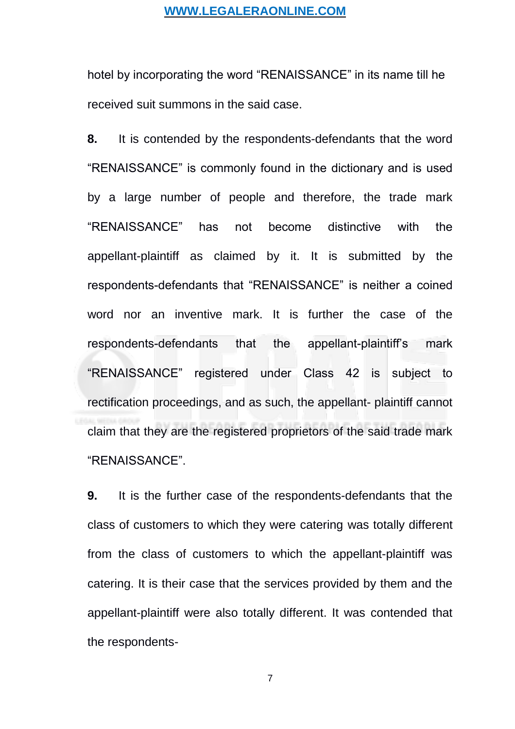hotel by incorporating the word "RENAISSANCE" in its name till he received suit summons in the said case.

**8.** It is contended by the respondents-defendants that the word "RENAISSANCE" is commonly found in the dictionary and is used by a large number of people and therefore, the trade mark "RENAISSANCE" has not become distinctive with the appellant-plaintiff as claimed by it. It is submitted by the respondents-defendants that "RENAISSANCE" is neither a coined word nor an inventive mark. It is further the case of the respondents-defendants that the appellant-plaintiff's mark "RENAISSANCE" registered under Class 42 is subject to rectification proceedings, and as such, the appellant- plaintiff cannot claim that they are the registered proprietors of the said trade mark "RENAISSANCE".

**9.** It is the further case of the respondents-defendants that the class of customers to which they were catering was totally different from the class of customers to which the appellant-plaintiff was catering. It is their case that the services provided by them and the appellant-plaintiff were also totally different. It was contended that the respondents-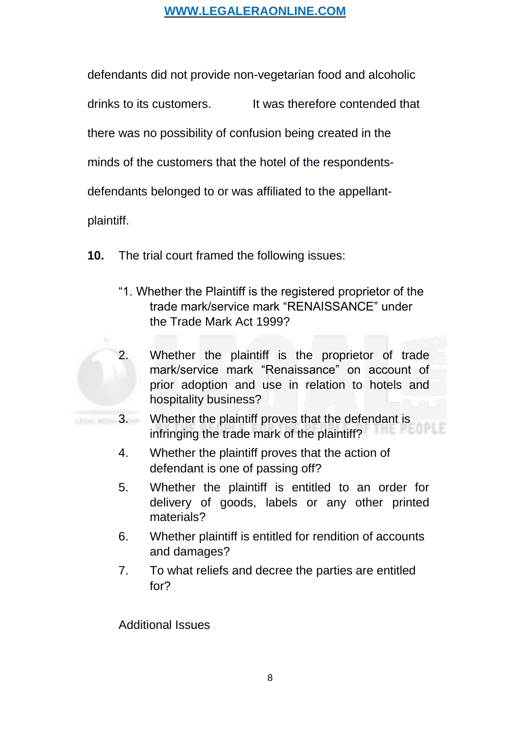defendants did not provide non-vegetarian food and alcoholic

drinks to its customers. It was therefore contended that

there was no possibility of confusion being created in the

minds of the customers that the hotel of the respondents-

defendants belonged to or was affiliated to the appellant-

plaintiff.

- **10.** The trial court framed the following issues:
	- "1. Whether the Plaintiff is the registered proprietor of the trade mark/service mark "RENAISSANCE" under the Trade Mark Act 1999?



- 2. Whether the plaintiff is the proprietor of trade mark/service mark "Renaissance" on account of prior adoption and use in relation to hotels and hospitality business?
- 3. Whether the plaintiff proves that the defendant is infringing the trade mark of the plaintiff?
	- 4. Whether the plaintiff proves that the action of defendant is one of passing off?
	- 5. Whether the plaintiff is entitled to an order for delivery of goods, labels or any other printed materials?
	- 6. Whether plaintiff is entitled for rendition of accounts and damages?
	- 7. To what reliefs and decree the parties are entitled for?

Additional Issues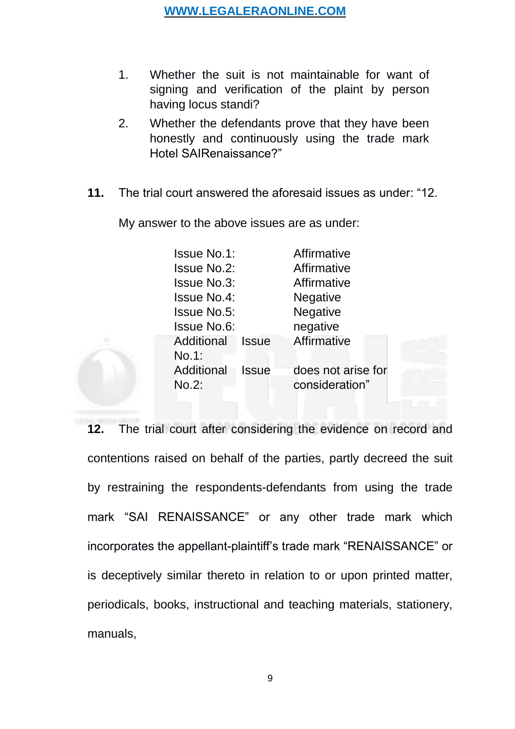- 1. Whether the suit is not maintainable for want of signing and verification of the plaint by person having locus standi?
- 2. Whether the defendants prove that they have been honestly and continuously using the trade mark Hotel SAIRenaissance?"
- **11.** The trial court answered the aforesaid issues as under: "12.

My answer to the above issues are as under:

| <b>Issue No.1:</b> |              | Affirmative        |
|--------------------|--------------|--------------------|
| <b>Issue No.2:</b> |              | Affirmative        |
| <b>Issue No.3:</b> |              | Affirmative        |
| <b>Issue No.4:</b> |              | Negative           |
| <b>Issue No.5:</b> |              | <b>Negative</b>    |
| <b>Issue No.6:</b> |              | negative           |
| Additional         | <b>Issue</b> | Affirmative        |
| No.1:              |              |                    |
| Additional         | <b>Issue</b> | does not arise for |
| No.2:              |              | consideration"     |

**12.** The trial court after considering the evidence on record and contentions raised on behalf of the parties, partly decreed the suit by restraining the respondents-defendants from using the trade mark "SAI RENAISSANCE" or any other trade mark which incorporates the appellant-plaintiff's trade mark "RENAISSANCE" or is deceptively similar thereto in relation to or upon printed matter, periodicals, books, instructional and teaching materials, stationery, manuals,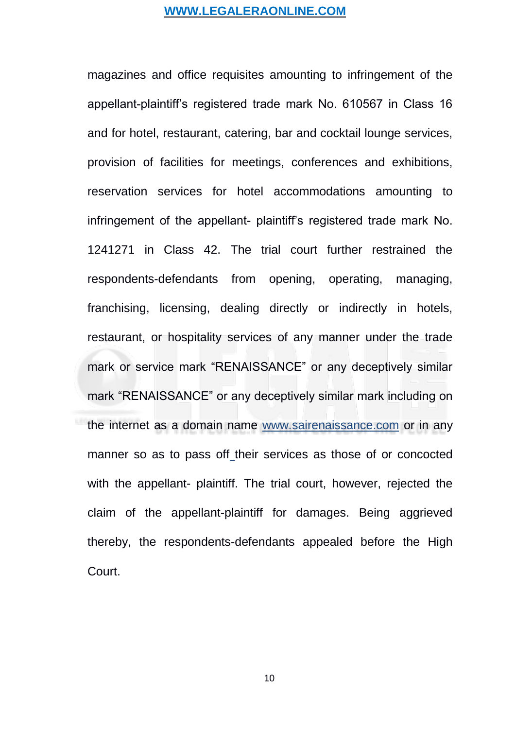magazines and office requisites amounting to infringement of the appellant-plaintiff's registered trade mark No. 610567 in Class 16 and for hotel, restaurant, catering, bar and cocktail lounge services, provision of facilities for meetings, conferences and exhibitions, reservation services for hotel accommodations amounting to infringement of the appellant- plaintiff's registered trade mark No. 1241271 in Class 42. The trial court further restrained the respondents-defendants from opening, operating, managing, franchising, licensing, dealing directly or indirectly in hotels, restaurant, or hospitality services of any manner under the trade mark or service mark "RENAISSANCE" or any deceptively similar mark "RENAISSANCE" or any deceptively similar mark including on the internet as a domain name [www.sairenaissance.](http://www.sairenaissance/)com or in any manner so as to pass off their services as those of or concocted with the appellant- plaintiff. The trial court, however, rejected the claim of the appellant-plaintiff for damages. Being aggrieved thereby, the respondents-defendants appealed before the High Court.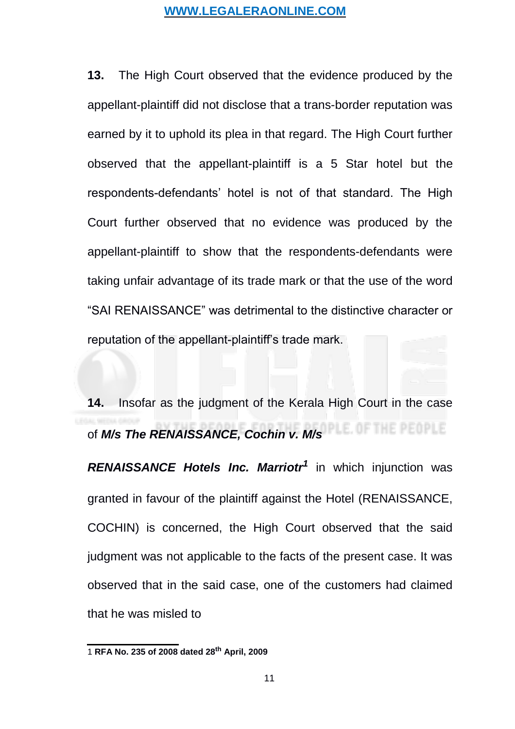<span id="page-10-0"></span>**13.** The High Court observed that the evidence produced by the appellant-plaintiff did not disclose that a trans-border reputation was earned by it to uphold its plea in that regard. The High Court further observed that the appellant-plaintiff is a 5 Star hotel but the respondents-defendants' hotel is not of that standard. The High Court further observed that no evidence was produced by the appellant-plaintiff to show that the respondents-defendants were taking unfair advantage of its trade mark or that the use of the word "SAI RENAISSANCE" was detrimental to the distinctive character or reputation of the appellant-plaintiff's trade mark.

**14.** Insofar as the judgment of the Kerala High Court in the case of *M/s The RENAISSANCE, Cochin v. M/s* E. OF THE PEOPLE.

*RENAISSANCE Hotels Inc. Marriotr[1](#page-10-0)* in which injunction was granted in favour of the plaintiff against the Hotel (RENAISSANCE, COCHIN) is concerned, the High Court observed that the said judgment was not applicable to the facts of the present case. It was observed that in the said case, one of the customers had claimed that he was misled to

<sup>1</sup> **RFA No. 235 of 2008 dated 28th April, 2009**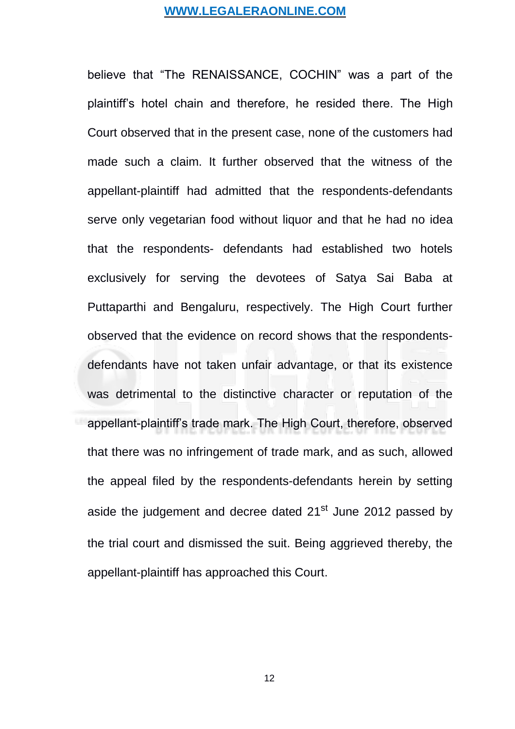believe that "The RENAISSANCE, COCHIN" was a part of the plaintiff's hotel chain and therefore, he resided there. The High Court observed that in the present case, none of the customers had made such a claim. It further observed that the witness of the appellant-plaintiff had admitted that the respondents-defendants serve only vegetarian food without liquor and that he had no idea that the respondents- defendants had established two hotels exclusively for serving the devotees of Satya Sai Baba at Puttaparthi and Bengaluru, respectively. The High Court further observed that the evidence on record shows that the respondentsdefendants have not taken unfair advantage, or that its existence was detrimental to the distinctive character or reputation of the appellant-plaintiff's trade mark. The High Court, therefore, observed that there was no infringement of trade mark, and as such, allowed the appeal filed by the respondents-defendants herein by setting aside the judgement and decree dated 21<sup>st</sup> June 2012 passed by the trial court and dismissed the suit. Being aggrieved thereby, the appellant-plaintiff has approached this Court.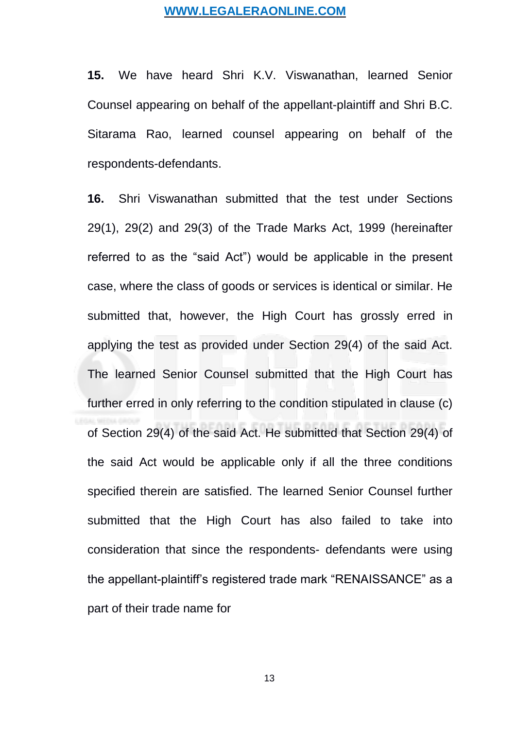**15.** We have heard Shri K.V. Viswanathan, learned Senior Counsel appearing on behalf of the appellant-plaintiff and Shri B.C. Sitarama Rao, learned counsel appearing on behalf of the respondents-defendants.

**16.** Shri Viswanathan submitted that the test under Sections 29(1), 29(2) and 29(3) of the Trade Marks Act, 1999 (hereinafter referred to as the "said Act") would be applicable in the present case, where the class of goods or services is identical or similar. He submitted that, however, the High Court has grossly erred in applying the test as provided under Section 29(4) of the said Act. The learned Senior Counsel submitted that the High Court has further erred in only referring to the condition stipulated in clause (c) of Section 29(4) of the said Act. He submitted that Section 29(4) of the said Act would be applicable only if all the three conditions specified therein are satisfied. The learned Senior Counsel further submitted that the High Court has also failed to take into consideration that since the respondents- defendants were using the appellant-plaintiff's registered trade mark "RENAISSANCE" as a part of their trade name for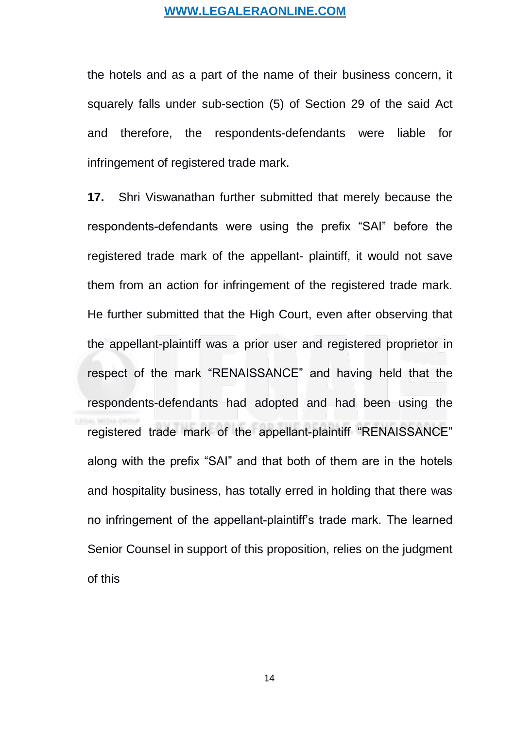the hotels and as a part of the name of their business concern, it squarely falls under sub-section (5) of Section 29 of the said Act and therefore, the respondents-defendants were liable for infringement of registered trade mark.

**17.** Shri Viswanathan further submitted that merely because the respondents-defendants were using the prefix "SAI" before the registered trade mark of the appellant- plaintiff, it would not save them from an action for infringement of the registered trade mark. He further submitted that the High Court, even after observing that the appellant-plaintiff was a prior user and registered proprietor in respect of the mark "RENAISSANCE" and having held that the respondents-defendants had adopted and had been using the registered trade mark of the appellant-plaintiff "RENAISSANCE" along with the prefix "SAI" and that both of them are in the hotels and hospitality business, has totally erred in holding that there was no infringement of the appellant-plaintiff's trade mark. The learned Senior Counsel in support of this proposition, relies on the judgment of this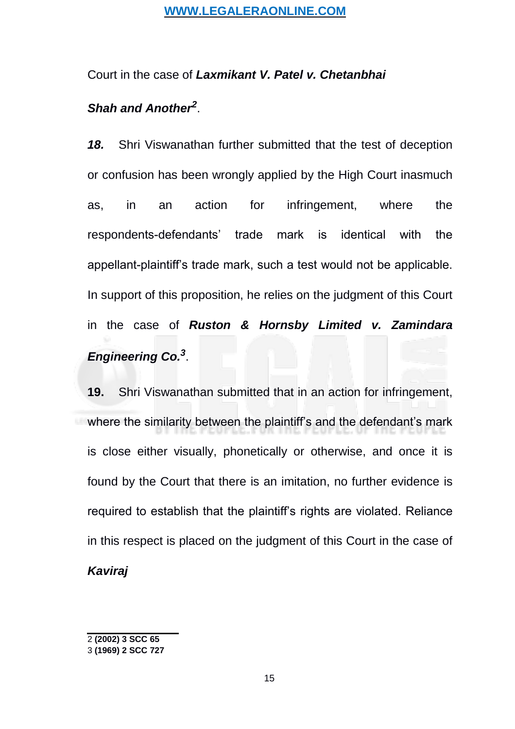### <span id="page-14-0"></span>Court in the case of *Laxmikant V. Patel v. Chetanbhai*

# *Shah and Another[2](#page-14-0)* .

*18.* Shri Viswanathan further submitted that the test of deception or confusion has been wrongly applied by the High Court inasmuch as, in an action for infringement, where the respondents-defendants' trade mark is identical with the appellant-plaintiff's trade mark, such a test would not be applicable. In support of this proposition, he relies on the judgment of this Court in the case of *Ruston & Hornsby Limited v. Zamindara Engineering Co.[3](#page-14-0)* .

**19.** Shri Viswanathan submitted that in an action for infringement, where the similarity between the plaintiff's and the defendant's mark is close either visually, phonetically or otherwise, and once it is found by the Court that there is an imitation, no further evidence is required to establish that the plaintiff's rights are violated. Reliance in this respect is placed on the judgment of this Court in the case of *Kaviraj*

<sup>2</sup> **(2002) 3 SCC 65**

<sup>3</sup> **(1969) 2 SCC 727**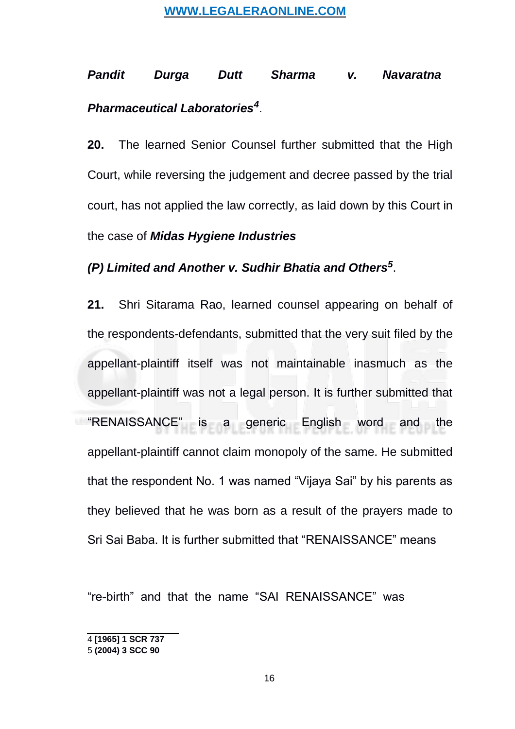# <span id="page-15-0"></span>*Pandit Durga Dutt Sharma v. Navaratna Pharmaceutical Laboratories[4](#page-15-0)* .

**20.** The learned Senior Counsel further submitted that the High Court, while reversing the judgement and decree passed by the trial court, has not applied the law correctly, as laid down by this Court in the case of *Midas Hygiene Industries*

# *(P) Limited and Another v. Sudhir Bhatia and Others[5](#page-15-0)* .

**21.** Shri Sitarama Rao, learned counsel appearing on behalf of the respondents-defendants, submitted that the very suit filed by the appellant-plaintiff itself was not maintainable inasmuch as the appellant-plaintiff was not a legal person. It is further submitted that "RENAISSANCE" is a generic English word and the appellant-plaintiff cannot claim monopoly of the same. He submitted that the respondent No. 1 was named "Vijaya Sai" by his parents as they believed that he was born as a result of the prayers made to Sri Sai Baba. It is further submitted that "RENAISSANCE" means

"re-birth" and that the name "SAI RENAISSANCE" was

<sup>4</sup> **[1965] 1 SCR 737**

<sup>5</sup> **(2004) 3 SCC 90**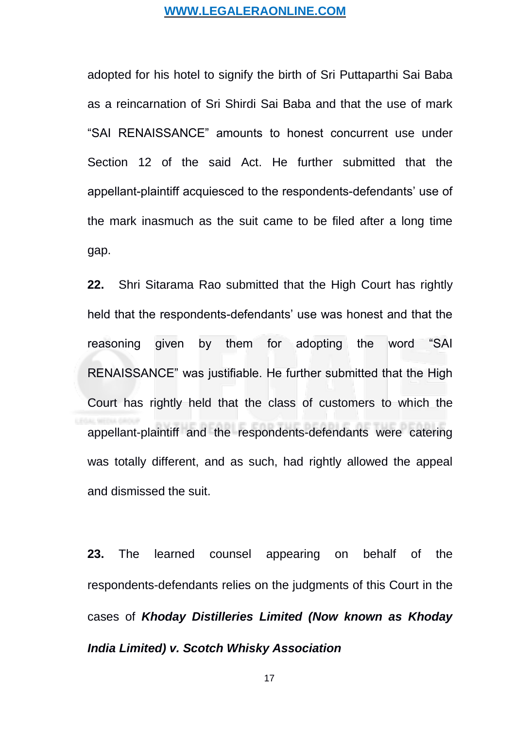adopted for his hotel to signify the birth of Sri Puttaparthi Sai Baba as a reincarnation of Sri Shirdi Sai Baba and that the use of mark "SAI RENAISSANCE" amounts to honest concurrent use under Section 12 of the said Act. He further submitted that the appellant-plaintiff acquiesced to the respondents-defendants' use of the mark inasmuch as the suit came to be filed after a long time gap.

**22.** Shri Sitarama Rao submitted that the High Court has rightly held that the respondents-defendants' use was honest and that the reasoning given by them for adopting the word "SAI RENAISSANCE" was justifiable. He further submitted that the High Court has rightly held that the class of customers to which the appellant-plaintiff and the respondents-defendants were catering was totally different, and as such, had rightly allowed the appeal and dismissed the suit.

**23.** The learned counsel appearing on behalf of the respondents-defendants relies on the judgments of this Court in the cases of *Khoday Distilleries Limited (Now known as Khoday India Limited) v. Scotch Whisky Association*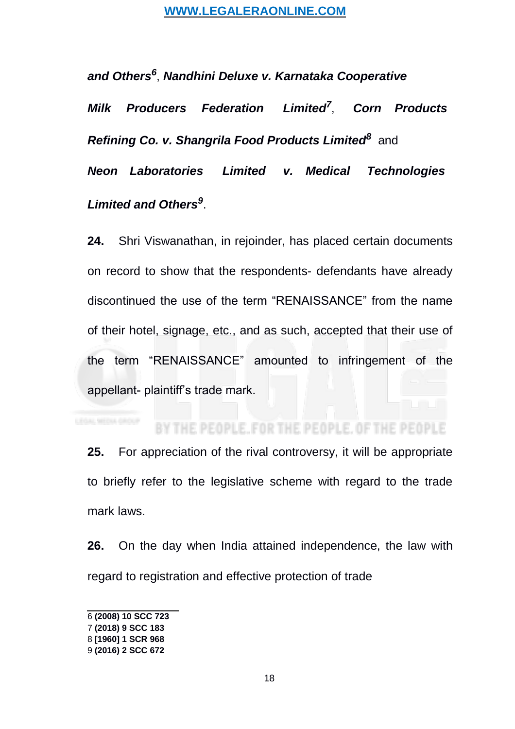<span id="page-17-0"></span>*and Others[6](#page-17-0)* , *Nandhini Deluxe v. Karnataka Cooperative*

*Milk Producers Federation Limited[7](#page-17-0)* , *Corn Products* **Refining Co. v. Shangrila Food Products Limited<sup>8</sup> [a](#page-17-0)nd** 

*Neon Laboratories Limited v. Medical Technologies Limited and Others[9](#page-17-0)* .

**24.** Shri Viswanathan, in rejoinder, has placed certain documents on record to show that the respondents- defendants have already discontinued the use of the term "RENAISSANCE" from the name of their hotel, signage, etc., and as such, accepted that their use of the term "RENAISSANCE" amounted to infringement of the appellant- plaintiff's trade mark.

#### HE PEOPLE, FOR THE PEOPLE, OF THE PEOPLE

**25.** For appreciation of the rival controversy, it will be appropriate to briefly refer to the legislative scheme with regard to the trade mark laws.

**26.** On the day when India attained independence, the law with regard to registration and effective protection of trade

<sup>6</sup> **(2008) 10 SCC 723**

<sup>7</sup> **(2018) 9 SCC 183**

<sup>8</sup> **[1960] 1 SCR 968**

<sup>9</sup> **(2016) 2 SCC 672**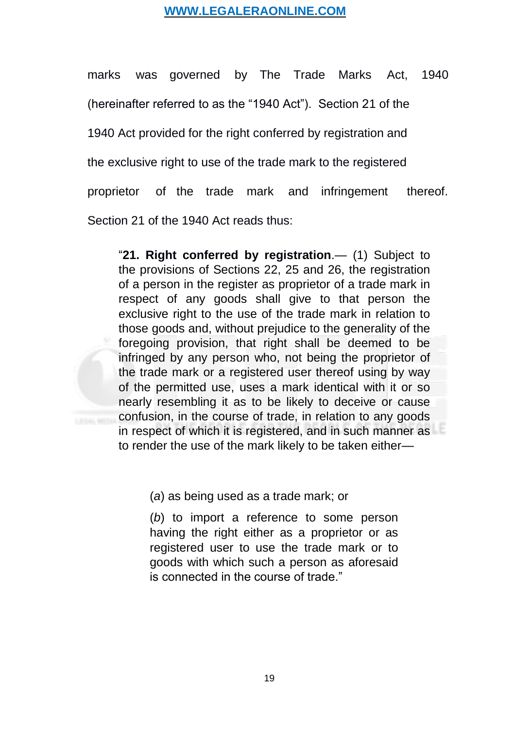marks was governed by The Trade Marks Act, 1940 (hereinafter referred to as the "1940 Act"). Section 21 of the 1940 Act provided for the right conferred by registration and the exclusive right to use of the trade mark to the registered proprietor of the trade mark and infringement thereof. Section 21 of the 1940 Act reads thus:

"**[21. Right conferred by registration](https://www.scconline.com/Members/BrowseResult.aspx#BS29)**.— (1) Subject to the provisions of Sections 22, 25 and 26, the registration of a person in the register as proprietor of a trade mark in respect of any goods shall give to that person the exclusive right to the use of the trade mark in relation to those goods and, without prejudice to the generality of the foregoing provision, that right shall be deemed to be infringed by any person who, not being the proprietor of the trade mark or a registered user thereof using by way of the permitted use, uses a mark identical with it or so nearly resembling it as to be likely to deceive or cause confusion, in the course of trade, in relation to any goods in respect of which it is registered, and in such manner as to render the use of the mark likely to be taken either—

(*a*) as being used as a trade mark; or

(*b*) to import a reference to some person having the right either as a proprietor or as registered user to use the trade mark or to goods with which such a person as aforesaid is connected in the course of trade."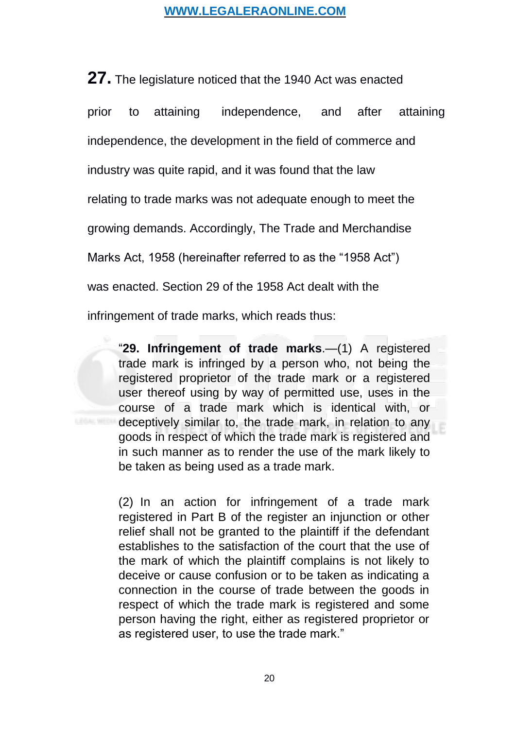**27.** The legislature noticed that the 1940 Act was enacted prior to attaining independence, and after attaining independence, the development in the field of commerce and industry was quite rapid, and it was found that the law relating to trade marks was not adequate enough to meet the growing demands. Accordingly, The Trade and Merchandise Marks Act, 1958 (hereinafter referred to as the "1958 Act") was enacted. Section 29 of the 1958 Act dealt with the infringement of trade marks, which reads thus:

"**[29. Infringement of trade marks](https://www.scconline.com/Members/BrowseResult.aspx#BS37)**.—(1) A registered trade mark is infringed by a person who, not being the registered proprietor of the trade mark or a registered user thereof using by way of permitted use, uses in the course of a trade mark which is identical with, or deceptively similar to, the trade mark, in relation to any goods in respect of which the trade mark is registered and in such manner as to render the use of the mark likely to be taken as being used as a trade mark.

(2) In an action for infringement of a trade mark registered in Part B of the register an injunction or other relief shall not be granted to the plaintiff if the defendant establishes to the satisfaction of the court that the use of the mark of which the plaintiff complains is not likely to deceive or cause confusion or to be taken as indicating a connection in the course of trade between the goods in respect of which the trade mark is registered and some person having the right, either as registered proprietor or as registered user, to use the trade mark."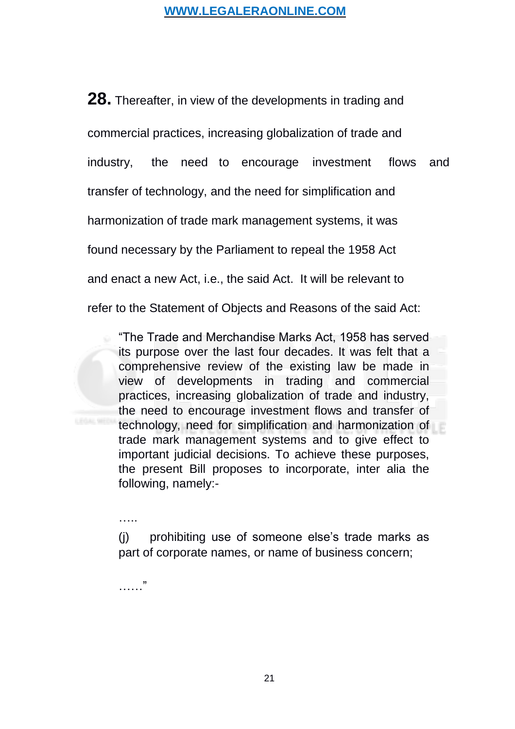**28.** Thereafter, in view of the developments in trading and commercial practices, increasing globalization of trade and industry, the need to encourage investment flows and transfer of technology, and the need for simplification and harmonization of trade mark management systems, it was found necessary by the Parliament to repeal the 1958 Act and enact a new Act, i.e., the said Act. It will be relevant to refer to the Statement of Objects and Reasons of the said Act:

"The Trade and Merchandise Marks Act, 1958 has served its purpose over the last four decades. It was felt that a comprehensive review of the existing law be made in view of developments in trading and commercial practices, increasing globalization of trade and industry, the need to encourage investment flows and transfer of technology, need for simplification and harmonization of trade mark management systems and to give effect to important judicial decisions. To achieve these purposes, the present Bill proposes to incorporate, inter alia the following, namely:-

(j) prohibiting use of someone else's trade marks as part of corporate names, or name of business concern;

..<br>. . . . . .

……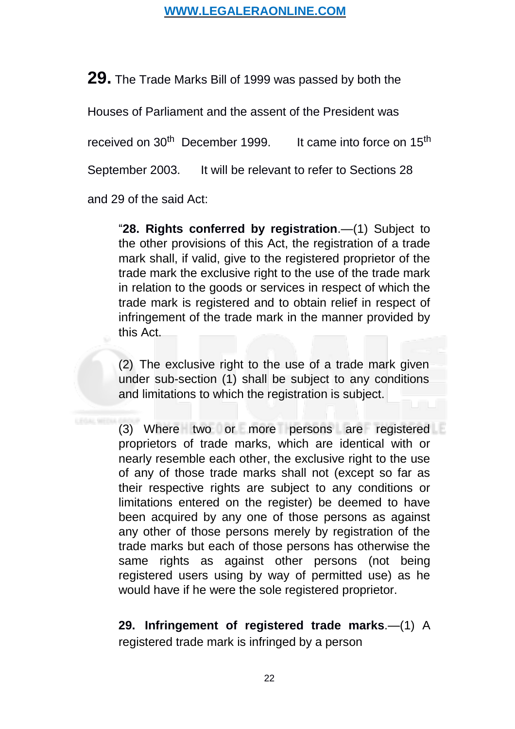**29.** The Trade Marks Bill of 1999 was passed by both the

Houses of Parliament and the assent of the President was

received on 30<sup>th</sup> December 1999. It came into force on  $15<sup>th</sup>$ 

September 2003. It will be relevant to refer to Sections 28

and 29 of the said Act:

"**[28. Rights conferred by registration](https://www.scconline.com/Members/BrowseResult.aspx#BS36)**.—(1) Subject to the other provisions of this Act, the registration of a trade mark shall, if valid, give to the registered proprietor of the trade mark the exclusive right to the use of the trade mark in relation to the goods or services in respect of which the trade mark is registered and to obtain relief in respect of infringement of the trade mark in the manner provided by this Act.

(2) The exclusive right to the use of a trade mark given under sub-section (1) shall be subject to any conditions and limitations to which the registration is subject.

(3) Where two or more persons are registered proprietors of trade marks, which are identical with or nearly resemble each other, the exclusive right to the use of any of those trade marks shall not (except so far as their respective rights are subject to any conditions or limitations entered on the register) be deemed to have been acquired by any one of those persons as against any other of those persons merely by registration of the trade marks but each of those persons has otherwise the same rights as against other persons (not being registered users using by way of permitted use) as he would have if he were the sole registered proprietor.

**29. [Infringement of registered trade marks](https://www.scconline.com/Members/BrowseResult.aspx#BS37)**.—(1) A registered trade mark is infringed by a person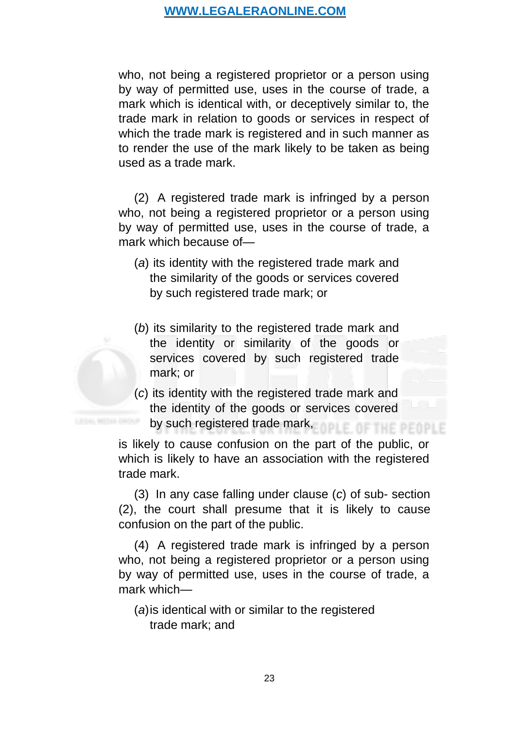who, not being a registered proprietor or a person using by way of permitted use, uses in the course of trade, a mark which is identical with, or deceptively similar to, the trade mark in relation to goods or services in respect of which the trade mark is registered and in such manner as to render the use of the mark likely to be taken as being used as a trade mark.

(2) A registered trade mark is infringed by a person who, not being a registered proprietor or a person using by way of permitted use, uses in the course of trade, a mark which because of—

- (*a*) its identity with the registered trade mark and the similarity of the goods or services covered by such registered trade mark; or
- (*b*) its similarity to the registered trade mark and the identity or similarity of the goods or services covered by such registered trade mark; or
- (*c*) its identity with the registered trade mark and the identity of the goods or services covered by such registered trade mark, OF THE PEOPLE

is likely to cause confusion on the part of the public, or which is likely to have an association with the registered trade mark.

(3) In any case falling under clause (*c*) of sub- section (2), the court shall presume that it is likely to cause confusion on the part of the public.

(4) A registered trade mark is infringed by a person who, not being a registered proprietor or a person using by way of permitted use, uses in the course of trade, a mark which—

(*a*)is identical with or similar to the registered trade mark; and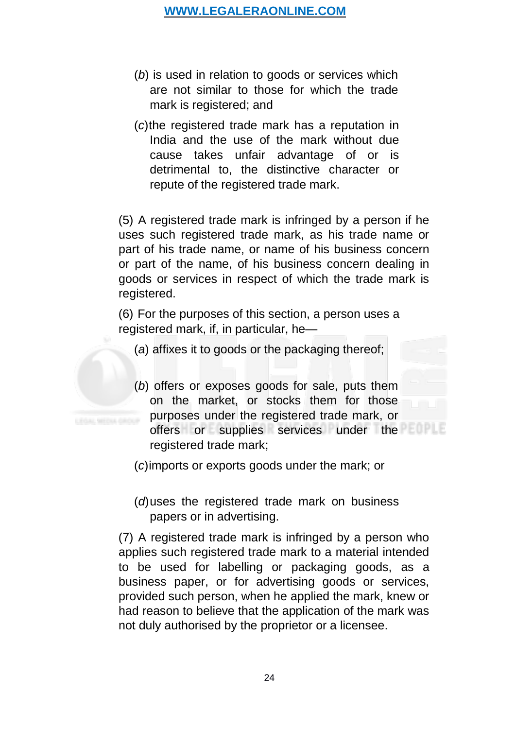- (*b*) is used in relation to goods or services which are not similar to those for which the trade mark is registered; and
- (*c*)the registered trade mark has a reputation in India and the use of the mark without due cause takes unfair advantage of or is detrimental to, the distinctive character or repute of the registered trade mark.

(5) A registered trade mark is infringed by a person if he uses such registered trade mark, as his trade name or part of his trade name, or name of his business concern or part of the name, of his business concern dealing in goods or services in respect of which the trade mark is registered.

(6) For the purposes of this section, a person uses a registered mark, if, in particular, he—

- (*a*) affixes it to goods or the packaging thereof;
- (*b*) offers or exposes goods for sale, puts them on the market, or stocks them for those purposes under the registered trade mark, or offers or supplies services under the registered trade mark;

(*c*)imports or exports goods under the mark; or

(*d*)uses the registered trade mark on business papers or in advertising.

(7) A registered trade mark is infringed by a person who applies such registered trade mark to a material intended to be used for labelling or packaging goods, as a business paper, or for advertising goods or services, provided such person, when he applied the mark, knew or had reason to believe that the application of the mark was not duly authorised by the proprietor or a licensee.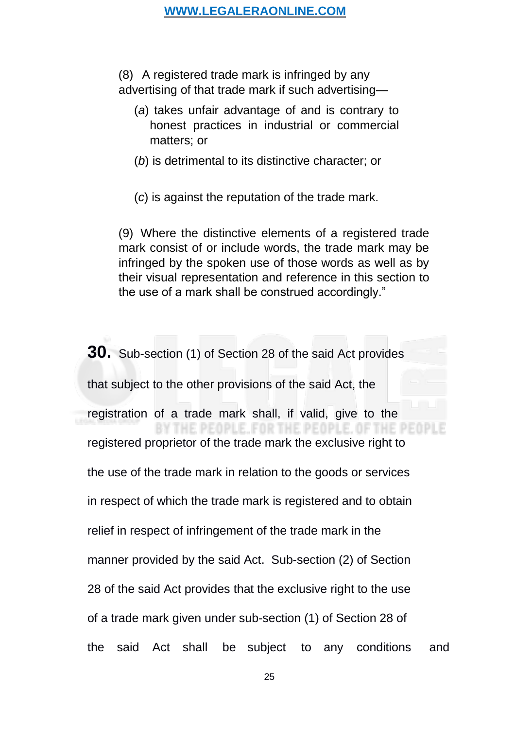(8) A registered trade mark is infringed by any advertising of that trade mark if such advertising—

- (*a*) takes unfair advantage of and is contrary to honest practices in industrial or commercial matters; or
- (*b*) is detrimental to its distinctive character; or
- (*c*) is against the reputation of the trade mark.

(9) Where the distinctive elements of a registered trade mark consist of or include words, the trade mark may be infringed by the spoken use of those words as well as by their visual representation and reference in this section to the use of a mark shall be construed accordingly."

**30.** Sub-section (1) of Section 28 of the said Act provides that subject to the other provisions of the said Act, the registration of a trade mark shall, if valid, give to the THE PEOPLE. FOR THE PEOPLE. OF THE PE registered proprietor of the trade mark the exclusive right to the use of the trade mark in relation to the goods or services in respect of which the trade mark is registered and to obtain relief in respect of infringement of the trade mark in the manner provided by the said Act. Sub-section (2) of Section 28 of the said Act provides that the exclusive right to the use of a trade mark given under sub-section (1) of Section 28 of the said Act shall be subject to any conditions and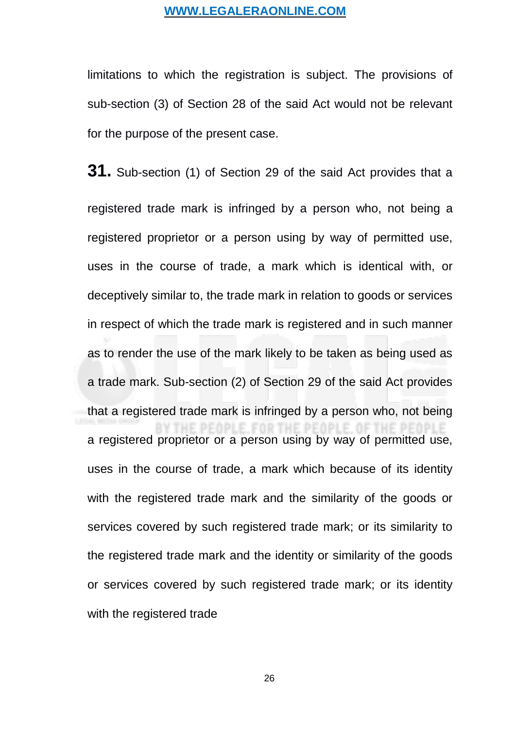limitations to which the registration is subject. The provisions of sub-section (3) of Section 28 of the said Act would not be relevant for the purpose of the present case.

**31.** Sub-section (1) of Section 29 of the said Act provides that a registered trade mark is infringed by a person who, not being a registered proprietor or a person using by way of permitted use, uses in the course of trade, a mark which is identical with, or deceptively similar to, the trade mark in relation to goods or services in respect of which the trade mark is registered and in such manner as to render the use of the mark likely to be taken as being used as a trade mark. Sub-section (2) of Section 29 of the said Act provides that a registered trade mark is infringed by a person who, not being a registered proprietor or a person using by way of permitted use, uses in the course of trade, a mark which because of its identity with the registered trade mark and the similarity of the goods or services covered by such registered trade mark; or its similarity to the registered trade mark and the identity or similarity of the goods or services covered by such registered trade mark; or its identity with the registered trade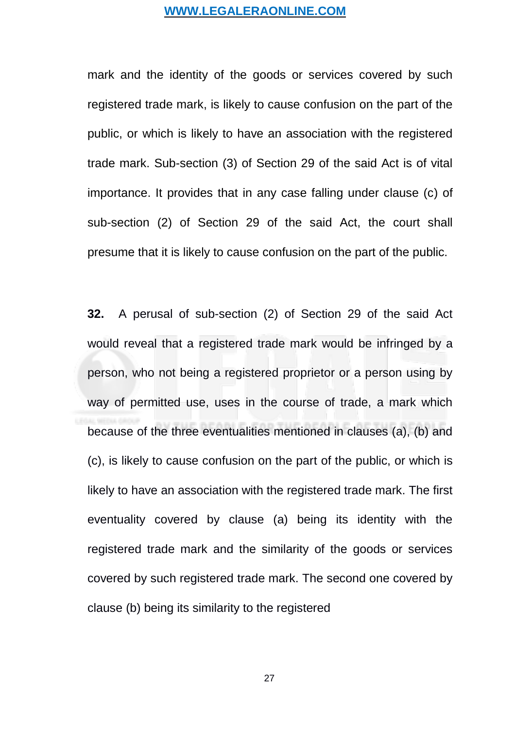mark and the identity of the goods or services covered by such registered trade mark, is likely to cause confusion on the part of the public, or which is likely to have an association with the registered trade mark. Sub-section (3) of Section 29 of the said Act is of vital importance. It provides that in any case falling under clause (c) of sub-section (2) of Section 29 of the said Act, the court shall presume that it is likely to cause confusion on the part of the public.

**32.** A perusal of sub-section (2) of Section 29 of the said Act would reveal that a registered trade mark would be infringed by a person, who not being a registered proprietor or a person using by way of permitted use, uses in the course of trade, a mark which because of the three eventualities mentioned in clauses (a), (b) and (c), is likely to cause confusion on the part of the public, or which is likely to have an association with the registered trade mark. The first eventuality covered by clause (a) being its identity with the registered trade mark and the similarity of the goods or services covered by such registered trade mark. The second one covered by clause (b) being its similarity to the registered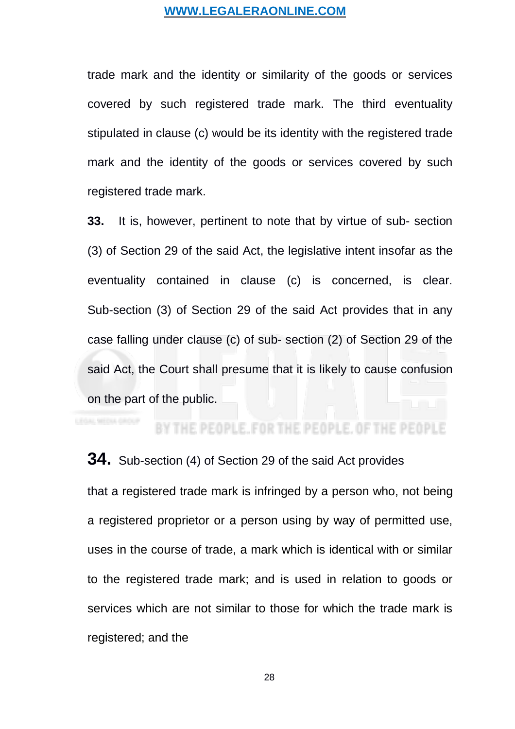trade mark and the identity or similarity of the goods or services covered by such registered trade mark. The third eventuality stipulated in clause (c) would be its identity with the registered trade mark and the identity of the goods or services covered by such registered trade mark.

**33.** It is, however, pertinent to note that by virtue of sub- section (3) of Section 29 of the said Act, the legislative intent insofar as the eventuality contained in clause (c) is concerned, is clear. Sub-section (3) of Section 29 of the said Act provides that in any case falling under clause (c) of sub- section (2) of Section 29 of the said Act, the Court shall presume that it is likely to cause confusion on the part of the public.

# BY THE PEOPLE, FOR THE PEOPLE.

# **34.** Sub-section (4) of Section 29 of the said Act provides

that a registered trade mark is infringed by a person who, not being a registered proprietor or a person using by way of permitted use, uses in the course of trade, a mark which is identical with or similar to the registered trade mark; and is used in relation to goods or services which are not similar to those for which the trade mark is registered; and the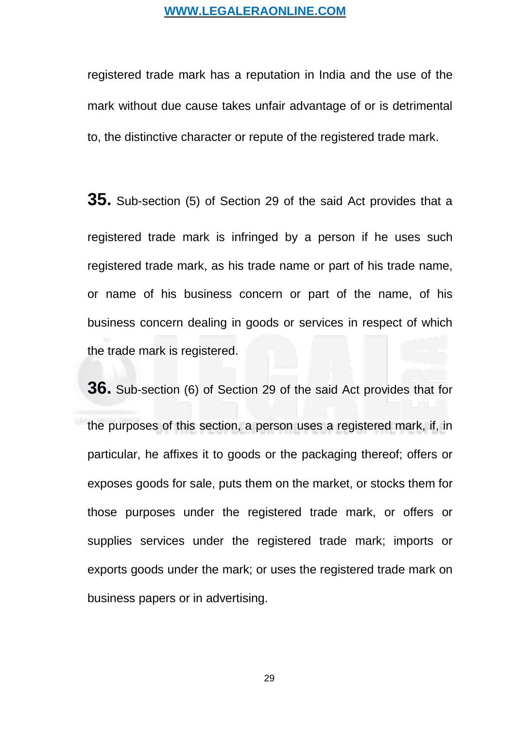registered trade mark has a reputation in India and the use of the mark without due cause takes unfair advantage of or is detrimental to, the distinctive character or repute of the registered trade mark.

**35.** Sub-section (5) of Section 29 of the said Act provides that a registered trade mark is infringed by a person if he uses such registered trade mark, as his trade name or part of his trade name, or name of his business concern or part of the name, of his business concern dealing in goods or services in respect of which the trade mark is registered.

**36.** Sub-section (6) of Section 29 of the said Act provides that for the purposes of this section, a person uses a registered mark, if, in particular, he affixes it to goods or the packaging thereof; offers or exposes goods for sale, puts them on the market, or stocks them for those purposes under the registered trade mark, or offers or supplies services under the registered trade mark; imports or exports goods under the mark; or uses the registered trade mark on business papers or in advertising.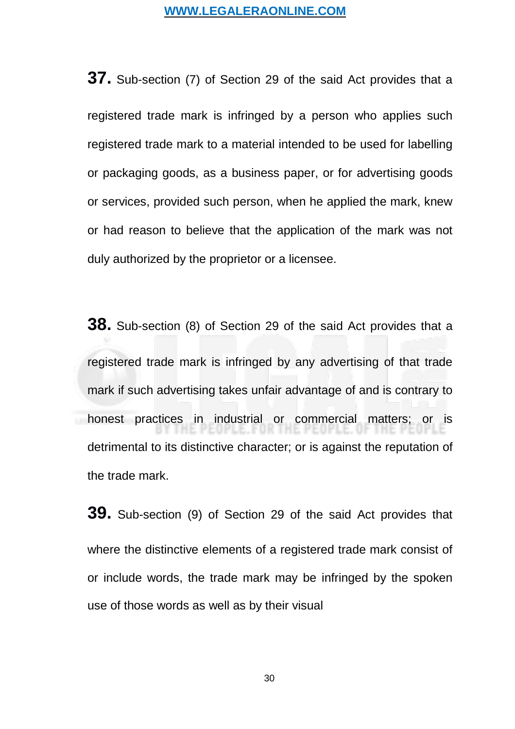**37.** Sub-section (7) of Section 29 of the said Act provides that a registered trade mark is infringed by a person who applies such registered trade mark to a material intended to be used for labelling or packaging goods, as a business paper, or for advertising goods or services, provided such person, when he applied the mark, knew or had reason to believe that the application of the mark was not duly authorized by the proprietor or a licensee.

**38.** Sub-section (8) of Section 29 of the said Act provides that a registered trade mark is infringed by any advertising of that trade mark if such advertising takes unfair advantage of and is contrary to honest practices in industrial or commercial matters; or is detrimental to its distinctive character; or is against the reputation of the trade mark.

**39.** Sub-section (9) of Section 29 of the said Act provides that where the distinctive elements of a registered trade mark consist of or include words, the trade mark may be infringed by the spoken use of those words as well as by their visual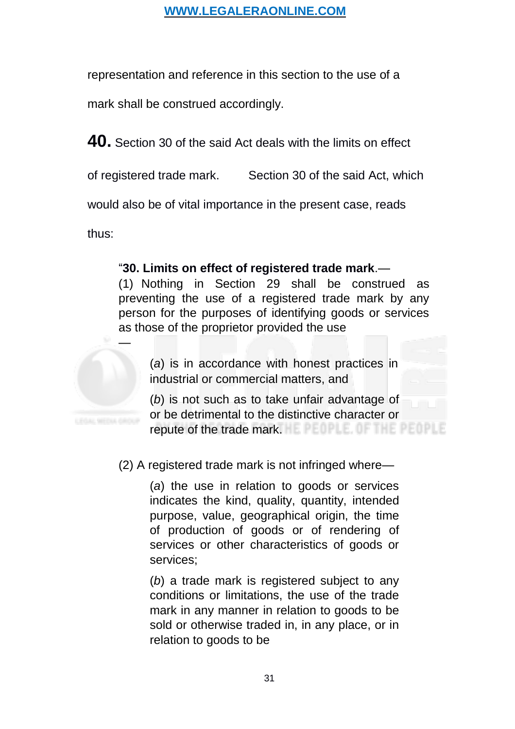representation and reference in this section to the use of a

mark shall be construed accordingly.

**40.** Section 30 of the said Act deals with the limits on effect

of registered trade mark. Section 30 of the said Act, which

would also be of vital importance in the present case, reads

thus:

# "**[30. Limits on effect of registered trade mark](https://www.scconline.com/Members/BrowseResult.aspx#BS38)**.—

(1) Nothing in Section 29 shall be construed as preventing the use of a registered trade mark by any person for the purposes of identifying goods or services as those of the proprietor provided the use



(*a*) is in accordance with honest practices in industrial or commercial matters, and

(*b*) is not such as to take unfair advantage of or be detrimental to the distinctive character or repute of the trade mark.

(2) A registered trade mark is not infringed where—

(*a*) the use in relation to goods or services indicates the kind, quality, quantity, intended purpose, value, geographical origin, the time of production of goods or of rendering of services or other characteristics of goods or services;

(*b*) a trade mark is registered subject to any conditions or limitations, the use of the trade mark in any manner in relation to goods to be sold or otherwise traded in, in any place, or in relation to goods to be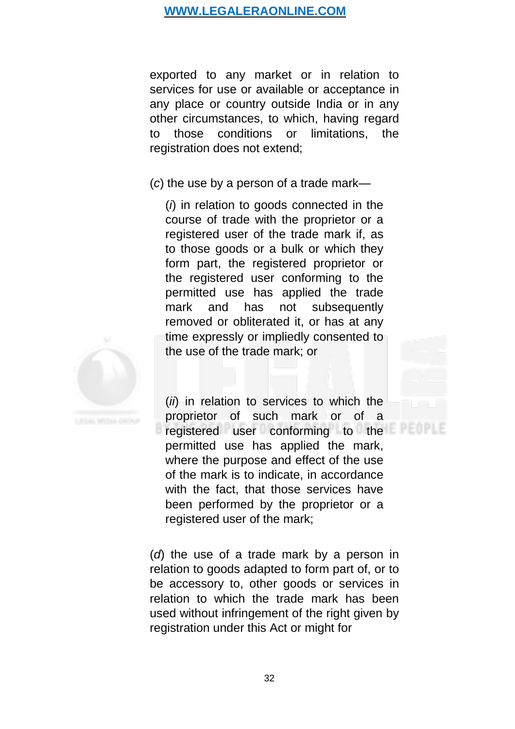exported to any market or in relation to services for use or available or acceptance in any place or country outside India or in any other circumstances, to which, having regard to those conditions or limitations, the registration does not extend;

(*c*) the use by a person of a trade mark—

(*i*) in relation to goods connected in the course of trade with the proprietor or a registered user of the trade mark if, as to those goods or a bulk or which they form part, the registered proprietor or the registered user conforming to the permitted use has applied the trade mark and has not subsequently removed or obliterated it, or has at any time expressly or impliedly consented to the use of the trade mark; or



(*ii*) in relation to services to which the proprietor of such mark or of a registered user conforming to the permitted use has applied the mark, where the purpose and effect of the use of the mark is to indicate, in accordance with the fact, that those services have been performed by the proprietor or a registered user of the mark;

(*d*) the use of a trade mark by a person in relation to goods adapted to form part of, or to be accessory to, other goods or services in relation to which the trade mark has been used without infringement of the right given by registration under this Act or might for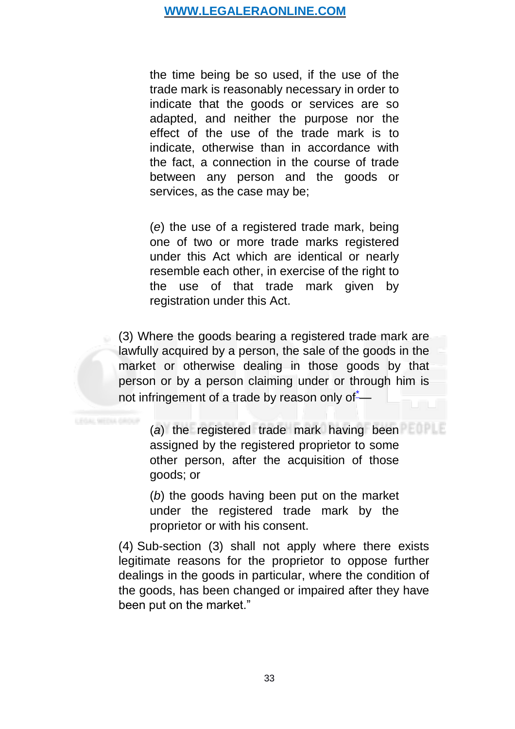the time being be so used, if the use of the trade mark is reasonably necessary in order to indicate that the goods or services are so adapted, and neither the purpose nor the effect of the use of the trade mark is to indicate, otherwise than in accordance with the fact, a connection in the course of trade between any person and the goods or services, as the case may be;

(*e*) the use of a registered trade mark, being one of two or more trade marks registered under this Act which are identical or nearly resemble each other, in exercise of the right to the use of that trade mark given by registration under this Act.

(3) Where the goods bearing a registered trade mark are lawfully acquired by a person, the sale of the goods in the market or otherwise dealing in those goods by that person or by a person claiming under or through him is not infringement of a trade by reason only of—

(*a*) the registered trade mark having been assigned by the registered proprietor to some other person, after the acquisition of those goods; or

(*b*) the goods having been put on the market under the registered trade mark by the proprietor or with his consent.

(4) Sub-section (3) shall not apply where there exists legitimate reasons for the proprietor to oppose further dealings in the goods in particular, where the condition of the goods, has been changed or impaired after they have been put on the market."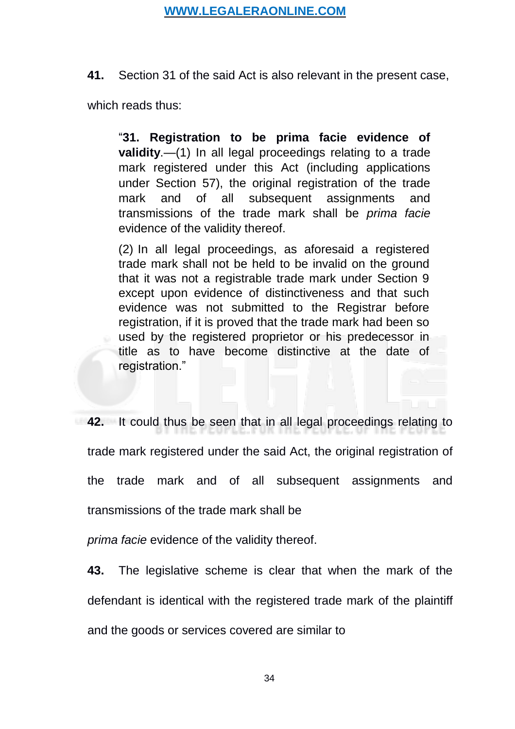**41.** Section 31 of the said Act is also relevant in the present case,

which reads thus:

"**[31. Registration to be prima facie evidence of](https://www.scconline.com/Members/BrowseResult.aspx#BS39) [validity](https://www.scconline.com/Members/BrowseResult.aspx#BS39)**.—(1) In all legal proceedings relating to a trade mark registered under this Act (including applications under Section 57), the original registration of the trade mark and of all subsequent assignments and transmissions of the trade mark shall be *prima facie* evidence of the validity thereof.

(2) In all legal proceedings, as aforesaid a registered trade mark shall not be held to be invalid on the ground that it was not a registrable trade mark under Section 9 except upon evidence of distinctiveness and that such evidence was not submitted to the Registrar before registration, if it is proved that the trade mark had been so used by the registered proprietor or his predecessor in title as to have become distinctive at the date of registration."

**42.** It could thus be seen that in all legal proceedings relating to trade mark registered under the said Act, the original registration of the trade mark and of all subsequent assignments and transmissions of the trade mark shall be

*prima facie* evidence of the validity thereof.

**43.** The legislative scheme is clear that when the mark of the defendant is identical with the registered trade mark of the plaintiff and the goods or services covered are similar to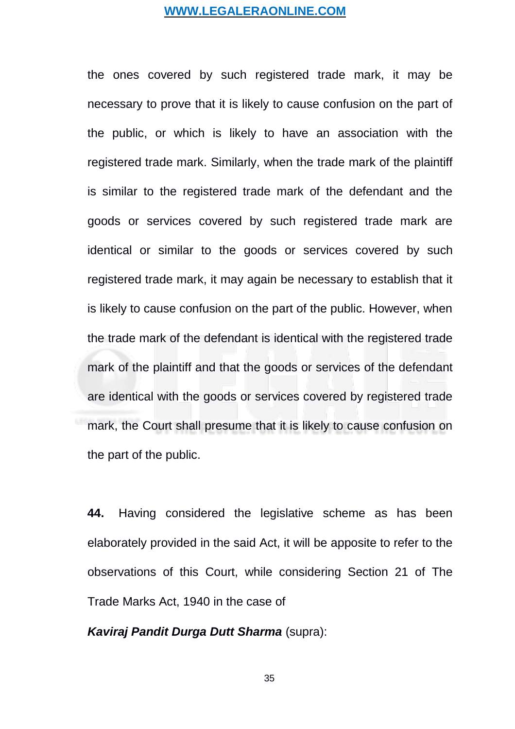the ones covered by such registered trade mark, it may be necessary to prove that it is likely to cause confusion on the part of the public, or which is likely to have an association with the registered trade mark. Similarly, when the trade mark of the plaintiff is similar to the registered trade mark of the defendant and the goods or services covered by such registered trade mark are identical or similar to the goods or services covered by such registered trade mark, it may again be necessary to establish that it is likely to cause confusion on the part of the public. However, when the trade mark of the defendant is identical with the registered trade mark of the plaintiff and that the goods or services of the defendant are identical with the goods or services covered by registered trade mark, the Court shall presume that it is likely to cause confusion on the part of the public.

**44.** Having considered the legislative scheme as has been elaborately provided in the said Act, it will be apposite to refer to the observations of this Court, while considering Section 21 of The Trade Marks Act, 1940 in the case of

*Kaviraj Pandit Durga Dutt Sharma* (supra):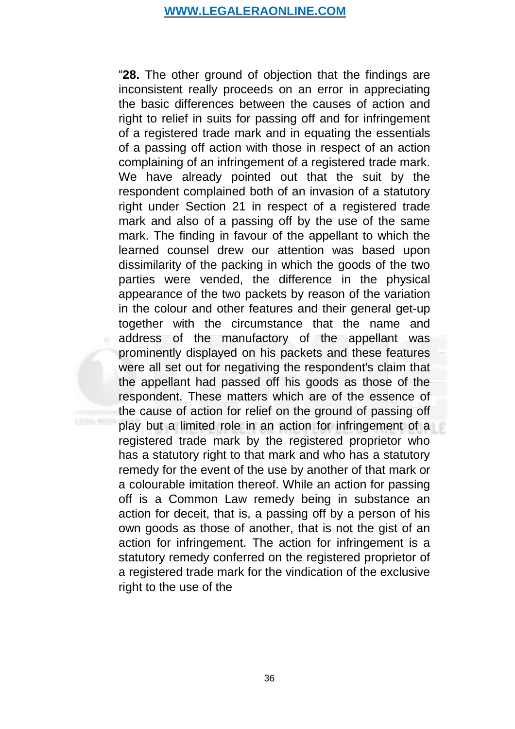"**28.** The other ground of objection that the findings are inconsistent really proceeds on an error in appreciating the basic differences between the causes of action and right to relief in suits for passing off and for infringement of a registered trade mark and in equating the essentials of a passing off action with those in respect of an action complaining of an infringement of a registered trade mark. We have already pointed out that the suit by the respondent complained both of an invasion of a statutory right under Section 21 in respect of a registered trade mark and also of a passing off by the use of the same mark. The finding in favour of the appellant to which the learned counsel drew our attention was based upon dissimilarity of the packing in which the goods of the two parties were vended, the difference in the physical appearance of the two packets by reason of the variation in the colour and other features and their general get-up together with the circumstance that the name and address of the manufactory of the appellant was prominently displayed on his packets and these features were all set out for negativing the respondent's claim that the appellant had passed off his goods as those of the respondent. These matters which are of the essence of the cause of action for relief on the ground of passing off play but a limited role in an action for infringement of a registered trade mark by the registered proprietor who has a statutory right to that mark and who has a statutory remedy for the event of the use by another of that mark or a colourable imitation thereof. While an action for passing off is a Common Law remedy being in substance an action for deceit, that is, a passing off by a person of his own goods as those of another, that is not the gist of an action for infringement. The action for infringement is a statutory remedy conferred on the registered proprietor of a registered trade mark for the vindication of the exclusive right to the use of the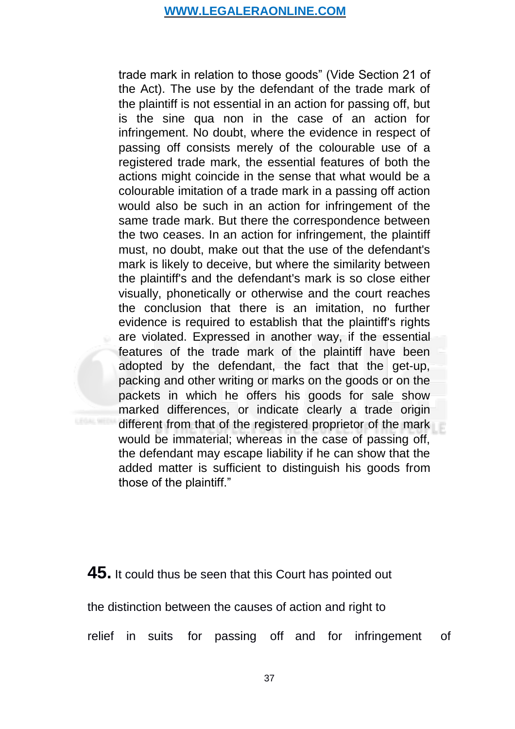trade mark in relation to those goods" (Vide Section 21 of the Act). The use by the defendant of the trade mark of the plaintiff is not essential in an action for passing off, but is the sine qua non in the case of an action for infringement. No doubt, where the evidence in respect of passing off consists merely of the colourable use of a registered trade mark, the essential features of both the actions might coincide in the sense that what would be a colourable imitation of a trade mark in a passing off action would also be such in an action for infringement of the same trade mark. But there the correspondence between the two ceases. In an action for infringement, the plaintiff must, no doubt, make out that the use of the defendant's mark is likely to deceive, but where the similarity between the plaintiff's and the defendant's mark is so close either visually, phonetically or otherwise and the court reaches the conclusion that there is an imitation, no further evidence is required to establish that the plaintiff's rights are violated. Expressed in another way, if the essential features of the trade mark of the plaintiff have been adopted by the defendant, the fact that the get-up, packing and other writing or marks on the goods or on the packets in which he offers his goods for sale show marked differences, or indicate clearly a trade origin different from that of the registered proprietor of the mark would be immaterial; whereas in the case of passing off, the defendant may escape liability if he can show that the added matter is sufficient to distinguish his goods from those of the plaintiff."

# **45.** It could thus be seen that this Court has pointed out

the distinction between the causes of action and right to

relief in suits for passing off and for infringement of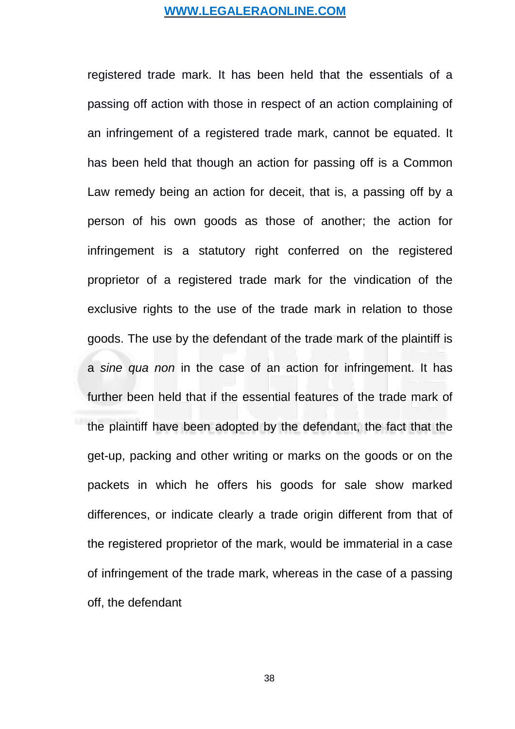registered trade mark. It has been held that the essentials of a passing off action with those in respect of an action complaining of an infringement of a registered trade mark, cannot be equated. It has been held that though an action for passing off is a Common Law remedy being an action for deceit, that is, a passing off by a person of his own goods as those of another; the action for infringement is a statutory right conferred on the registered proprietor of a registered trade mark for the vindication of the exclusive rights to the use of the trade mark in relation to those goods. The use by the defendant of the trade mark of the plaintiff is a *sine qua non* in the case of an action for infringement. It has further been held that if the essential features of the trade mark of the plaintiff have been adopted by the defendant, the fact that the get-up, packing and other writing or marks on the goods or on the packets in which he offers his goods for sale show marked differences, or indicate clearly a trade origin different from that of the registered proprietor of the mark, would be immaterial in a case of infringement of the trade mark, whereas in the case of a passing off, the defendant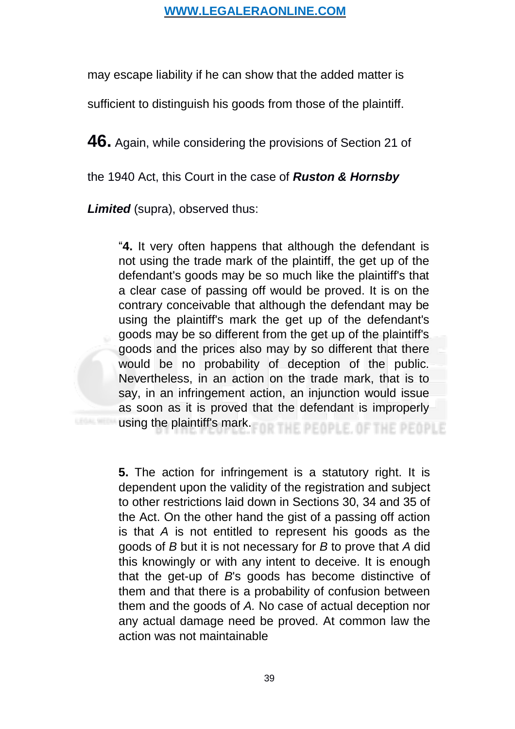may escape liability if he can show that the added matter is

sufficient to distinguish his goods from those of the plaintiff.

**46.** Again, while considering the provisions of Section 21 of

the 1940 Act, this Court in the case of *Ruston & Hornsby*

*Limited* (supra), observed thus:

"**4.** It very often happens that although the defendant is not using the trade mark of the plaintiff, the get up of the defendant's goods may be so much like the plaintiff's that a clear case of passing off would be proved. It is on the contrary conceivable that although the defendant may be using the plaintiff's mark the get up of the defendant's goods may be so different from the get up of the plaintiff's goods and the prices also may by so different that there would be no probability of deception of the public. Nevertheless, in an action on the trade mark, that is to say, in an infringement action, an injunction would issue as soon as it is proved that the defendant is improperly using the plaintiff's mark. HE PEOPLE, OF THE PEOPLE

**5.** The action for infringement is a statutory right. It is dependent upon the validity of the registration and subject to other restrictions laid down in Sections 30, 34 and 35 of the Act. On the other hand the gist of a passing off action is that *A* is not entitled to represent his goods as the goods of *B* but it is not necessary for *B* to prove that *A* did this knowingly or with any intent to deceive. It is enough that the get-up of *B*'s goods has become distinctive of them and that there is a probability of confusion between them and the goods of *A.* No case of actual deception nor any actual damage need be proved. At common law the action was not maintainable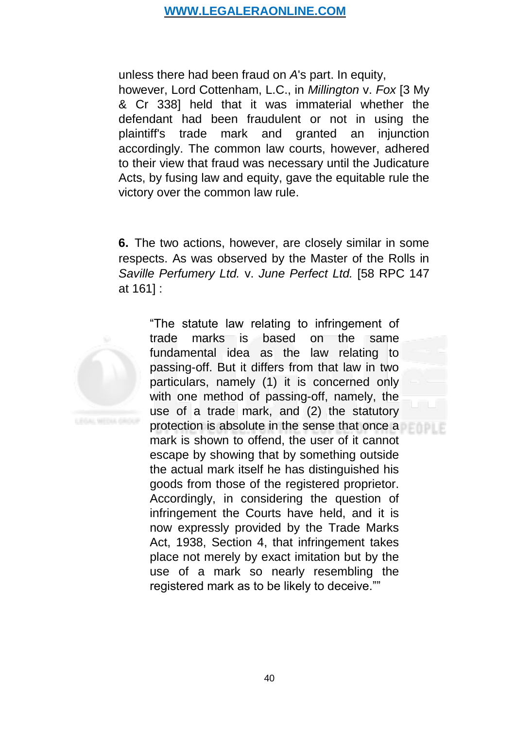unless there had been fraud on *A*'s part. In equity, however, Lord Cottenham, L.C., in *Millington* v. *Fox* [3 My & Cr 338] held that it was immaterial whether the defendant had been fraudulent or not in using the plaintiff's trade mark and granted an injunction accordingly. The common law courts, however, adhered to their view that fraud was necessary until the Judicature Acts, by fusing law and equity, gave the equitable rule the victory over the common law rule.

**6.** The two actions, however, are closely similar in some respects. As was observed by the Master of the Rolls in *Saville Perfumery Ltd.* v. *June Perfect Ltd.* [58 RPC 147 at 161] :



"The statute law relating to infringement of trade marks is based on the same fundamental idea as the law relating to passing-off. But it differs from that law in two particulars, namely (1) it is concerned only with one method of passing-off, namely, the use of a trade mark, and (2) the statutory protection is absolute in the sense that once a mark is shown to offend, the user of it cannot escape by showing that by something outside the actual mark itself he has distinguished his goods from those of the registered proprietor. Accordingly, in considering the question of infringement the Courts have held, and it is now expressly provided by the Trade Marks Act, 1938, Section 4, that infringement takes place not merely by exact imitation but by the use of a mark so nearly resembling the registered mark as to be likely to deceive.""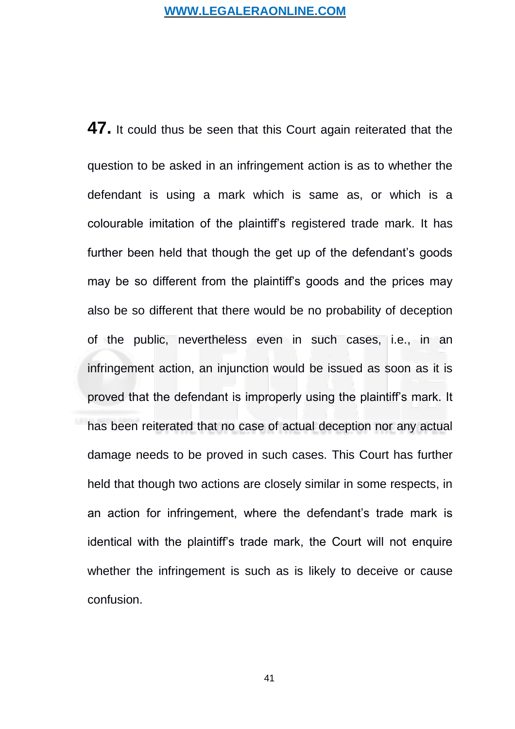**47.** It could thus be seen that this Court again reiterated that the question to be asked in an infringement action is as to whether the defendant is using a mark which is same as, or which is a colourable imitation of the plaintiff's registered trade mark. It has further been held that though the get up of the defendant's goods may be so different from the plaintiff's goods and the prices may also be so different that there would be no probability of deception of the public, nevertheless even in such cases, i.e., in an infringement action, an injunction would be issued as soon as it is proved that the defendant is improperly using the plaintiff's mark. It has been reiterated that no case of actual deception nor any actual damage needs to be proved in such cases. This Court has further held that though two actions are closely similar in some respects, in an action for infringement, where the defendant's trade mark is identical with the plaintiff's trade mark, the Court will not enquire whether the infringement is such as is likely to deceive or cause confusion.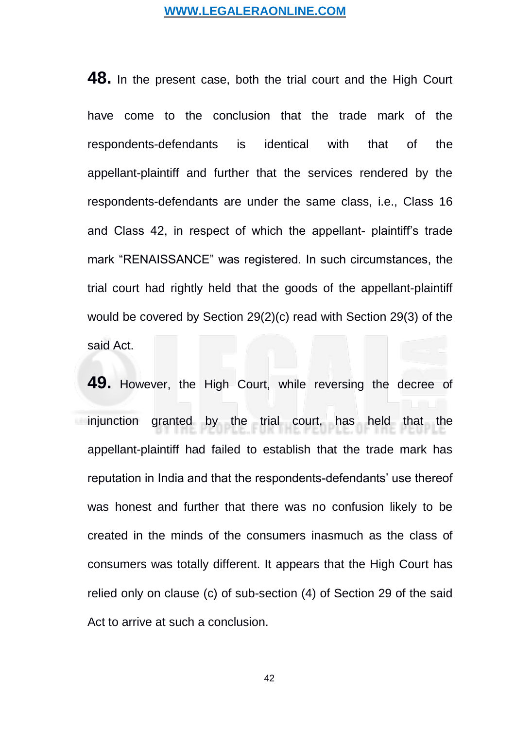**48.** In the present case, both the trial court and the High Court have come to the conclusion that the trade mark of the respondents-defendants is identical with that of the appellant-plaintiff and further that the services rendered by the respondents-defendants are under the same class, i.e., Class 16 and Class 42, in respect of which the appellant- plaintiff's trade mark "RENAISSANCE" was registered. In such circumstances, the trial court had rightly held that the goods of the appellant-plaintiff would be covered by Section 29(2)(c) read with Section 29(3) of the said Act.

**49.** However, the High Court, while reversing the decree of injunction granted by the trial court, has held that the appellant-plaintiff had failed to establish that the trade mark has reputation in India and that the respondents-defendants' use thereof was honest and further that there was no confusion likely to be created in the minds of the consumers inasmuch as the class of consumers was totally different. It appears that the High Court has relied only on clause (c) of sub-section (4) of Section 29 of the said Act to arrive at such a conclusion.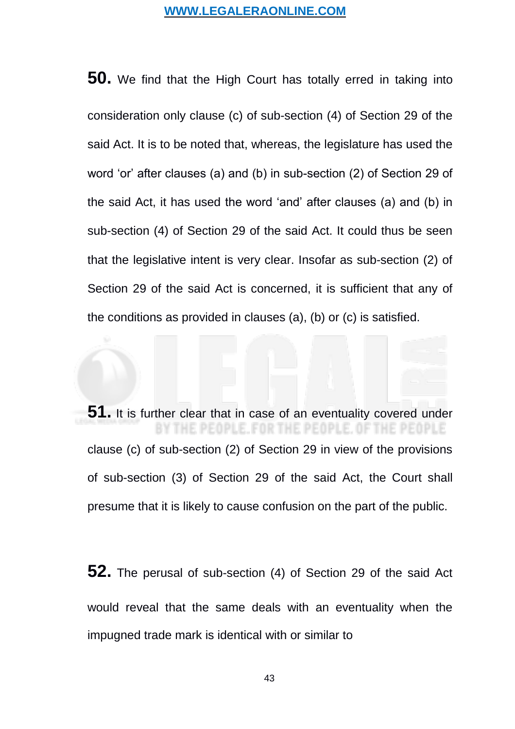**50.** We find that the High Court has totally erred in taking into consideration only clause (c) of sub-section (4) of Section 29 of the said Act. It is to be noted that, whereas, the legislature has used the word 'or' after clauses (a) and (b) in sub-section  $(2)$  of Section 29 of the said Act, it has used the word 'and' after clauses (a) and (b) in sub-section (4) of Section 29 of the said Act. It could thus be seen that the legislative intent is very clear. Insofar as sub-section (2) of Section 29 of the said Act is concerned, it is sufficient that any of the conditions as provided in clauses (a), (b) or (c) is satisfied.

**51.** It is further clear that in case of an eventuality covered under OPLE. FOR THE PEOPLE clause (c) of sub-section (2) of Section 29 in view of the provisions of sub-section (3) of Section 29 of the said Act, the Court shall presume that it is likely to cause confusion on the part of the public.

**52.** The perusal of sub-section (4) of Section 29 of the said Act would reveal that the same deals with an eventuality when the impugned trade mark is identical with or similar to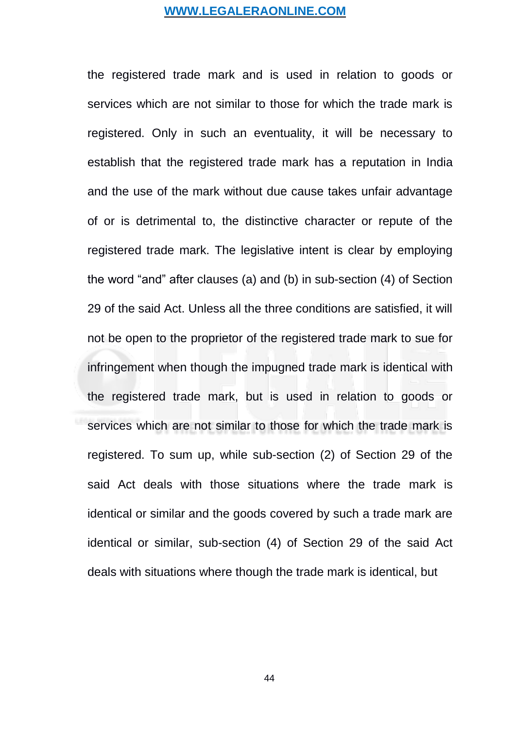the registered trade mark and is used in relation to goods or services which are not similar to those for which the trade mark is registered. Only in such an eventuality, it will be necessary to establish that the registered trade mark has a reputation in India and the use of the mark without due cause takes unfair advantage of or is detrimental to, the distinctive character or repute of the registered trade mark. The legislative intent is clear by employing the word "and" after clauses (a) and (b) in sub-section (4) of Section 29 of the said Act. Unless all the three conditions are satisfied, it will not be open to the proprietor of the registered trade mark to sue for infringement when though the impugned trade mark is identical with the registered trade mark, but is used in relation to goods or services which are not similar to those for which the trade mark is registered. To sum up, while sub-section (2) of Section 29 of the said Act deals with those situations where the trade mark is identical or similar and the goods covered by such a trade mark are identical or similar, sub-section (4) of Section 29 of the said Act deals with situations where though the trade mark is identical, but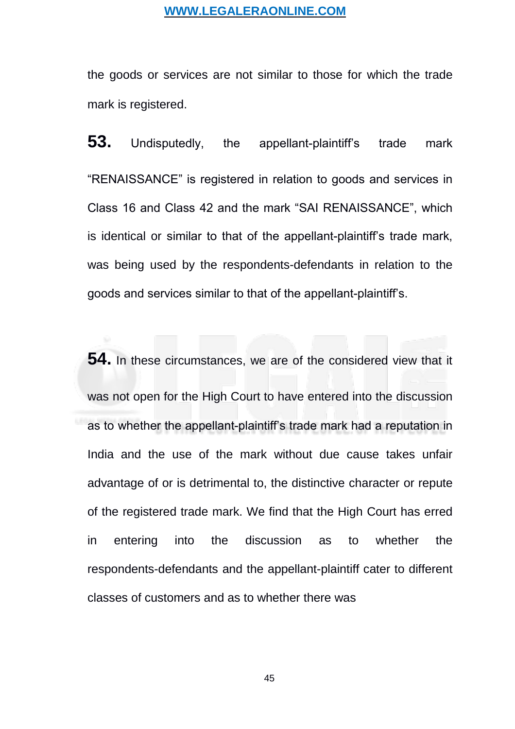the goods or services are not similar to those for which the trade mark is registered.

**53.** Undisputedly, the appellant-plaintiff's trade mark "RENAISSANCE" is registered in relation to goods and services in Class 16 and Class 42 and the mark "SAI RENAISSANCE", which is identical or similar to that of the appellant-plaintiff's trade mark, was being used by the respondents-defendants in relation to the goods and services similar to that of the appellant-plaintiff's.

**54.** In these circumstances, we are of the considered view that it was not open for the High Court to have entered into the discussion as to whether the appellant-plaintiff's trade mark had a reputation in India and the use of the mark without due cause takes unfair advantage of or is detrimental to, the distinctive character or repute of the registered trade mark. We find that the High Court has erred in entering into the discussion as to whether the respondents-defendants and the appellant-plaintiff cater to different classes of customers and as to whether there was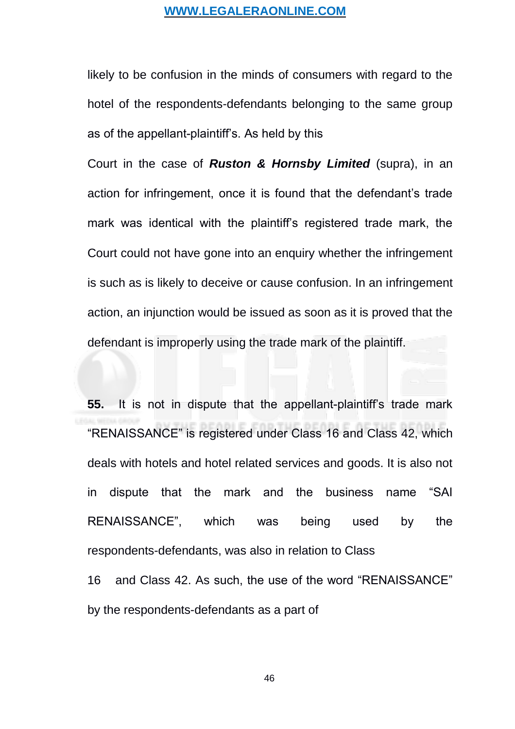likely to be confusion in the minds of consumers with regard to the hotel of the respondents-defendants belonging to the same group as of the appellant-plaintiff's. As held by this

Court in the case of *Ruston & Hornsby Limited* (supra), in an action for infringement, once it is found that the defendant's trade mark was identical with the plaintiff's registered trade mark, the Court could not have gone into an enquiry whether the infringement is such as is likely to deceive or cause confusion. In an infringement action, an injunction would be issued as soon as it is proved that the defendant is improperly using the trade mark of the plaintiff.

**55.** It is not in dispute that the appellant-plaintiff's trade mark "RENAISSANCE" is registered under Class 16 and Class 42, which deals with hotels and hotel related services and goods. It is also not in dispute that the mark and the business name "SAI RENAISSANCE", which was being used by the respondents-defendants, was also in relation to Class 16 and Class 42. As such, the use of the word "RENAISSANCE"

by the respondents-defendants as a part of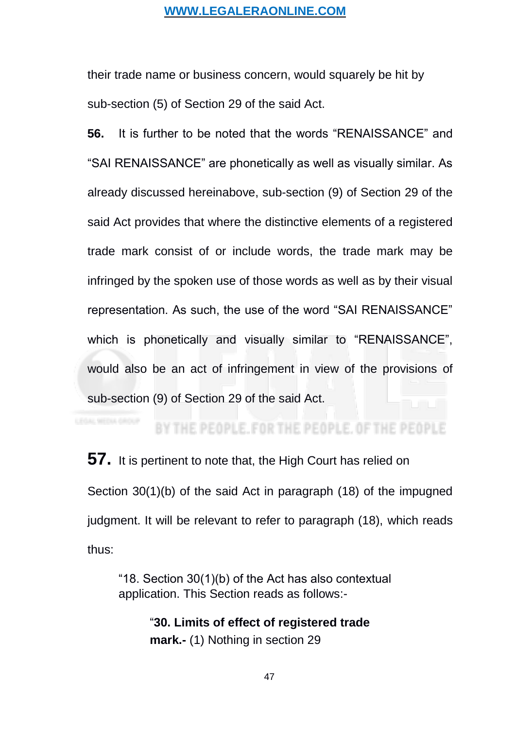their trade name or business concern, would squarely be hit by sub-section (5) of Section 29 of the said Act.

**56.** It is further to be noted that the words "RENAISSANCE" and "SAI RENAISSANCE" are phonetically as well as visually similar. As already discussed hereinabove, sub-section (9) of Section 29 of the said Act provides that where the distinctive elements of a registered trade mark consist of or include words, the trade mark may be infringed by the spoken use of those words as well as by their visual representation. As such, the use of the word "SAI RENAISSANCE" which is phonetically and visually similar to "RENAISSANCE", would also be an act of infringement in view of the provisions of sub-section (9) of Section 29 of the said Act.

# BY THE PEOPLE, FOR THE PEOPLE, OF THE PEOPLE

**57.** It is pertinent to note that, the High Court has relied on Section 30(1)(b) of the said Act in paragraph (18) of the impugned judgment. It will be relevant to refer to paragraph (18), which reads thus:

"18. Section 30(1)(b) of the Act has also contextual application. This Section reads as follows:-

> "**30. Limits of effect of registered trade mark.-** (1) Nothing in section 29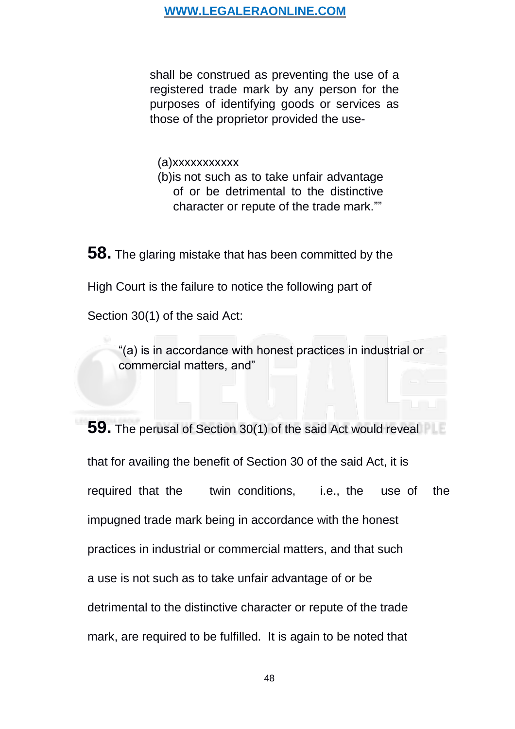shall be construed as preventing the use of a registered trade mark by any person for the purposes of identifying goods or services as those of the proprietor provided the use-

(a)xxxxxxxxxxx (b)is not such as to take unfair advantage of or be detrimental to the distinctive character or repute of the trade mark.""

**58.** The glaring mistake that has been committed by the High Court is the failure to notice the following part of Section 30(1) of the said Act:

> "(a) is in accordance with honest practices in industrial or commercial matters, and"

**59.** The perusal of Section 30(1) of the said Act would reveal that for availing the benefit of Section 30 of the said Act, it is required that the twin conditions, i.e., the use of the impugned trade mark being in accordance with the honest practices in industrial or commercial matters, and that such a use is not such as to take unfair advantage of or be detrimental to the distinctive character or repute of the trade mark, are required to be fulfilled. It is again to be noted that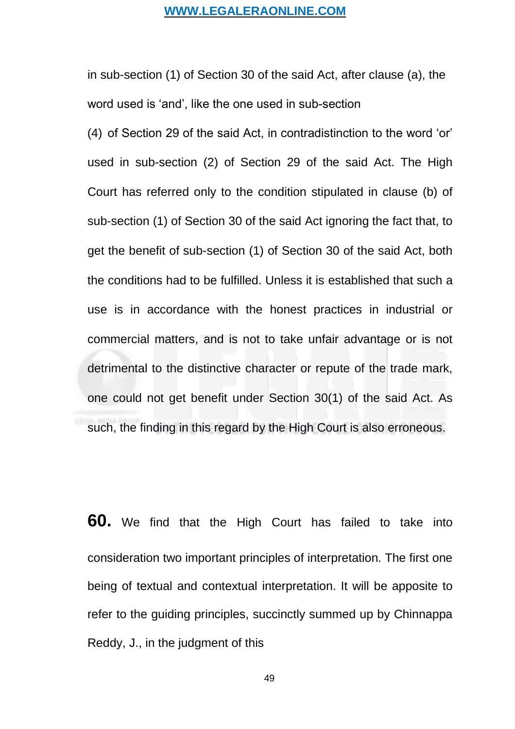in sub-section (1) of Section 30 of the said Act, after clause (a), the word used is 'and', like the one used in sub-section

(4) of Section 29 of the said Act, in contradistinction to the word 'or' used in sub-section (2) of Section 29 of the said Act. The High Court has referred only to the condition stipulated in clause (b) of sub-section (1) of Section 30 of the said Act ignoring the fact that, to get the benefit of sub-section (1) of Section 30 of the said Act, both the conditions had to be fulfilled. Unless it is established that such a use is in accordance with the honest practices in industrial or commercial matters, and is not to take unfair advantage or is not detrimental to the distinctive character or repute of the trade mark, one could not get benefit under Section 30(1) of the said Act. As such, the finding in this regard by the High Court is also erroneous.

**60.** We find that the High Court has failed to take into consideration two important principles of interpretation. The first one being of textual and contextual interpretation. It will be apposite to refer to the guiding principles, succinctly summed up by Chinnappa Reddy, J., in the judgment of this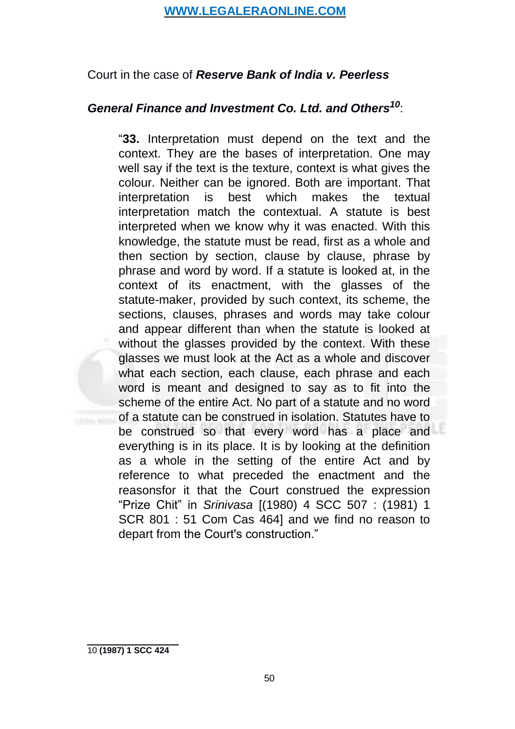# <span id="page-49-0"></span>Court in the case of *Reserve Bank of India v. Peerless*

### *General Finance and Investment Co. Ltd. and Others[10](#page-49-0)*:

"**33.** Interpretation must depend on the text and the context. They are the bases of interpretation. One may well say if the text is the texture, context is what gives the colour. Neither can be ignored. Both are important. That interpretation is best which makes the textual interpretation match the contextual. A statute is best interpreted when we know why it was enacted. With this knowledge, the statute must be read, first as a whole and then section by section, clause by clause, phrase by phrase and word by word. If a statute is looked at, in the context of its enactment, with the glasses of the statute-maker, provided by such context, its scheme, the sections, clauses, phrases and words may take colour and appear different than when the statute is looked at without the glasses provided by the context. With these glasses we must look at the Act as a whole and discover what each section, each clause, each phrase and each word is meant and designed to say as to fit into the scheme of the entire Act. No part of a statute and no word of a statute can be construed in isolation. Statutes have to be construed so that every word has a place and everything is in its place. It is by looking at the definition as a whole in the setting of the entire Act and by reference to what preceded the enactment and the reasonsfor it that the Court construed the expression "Prize Chit" in *Srinivasa* [(1980) 4 SCC 507 : (1981) 1 SCR 801 : 51 Com Cas 464] and we find no reason to depart from the Court's construction."

<sup>10</sup> **(1987) 1 SCC 424**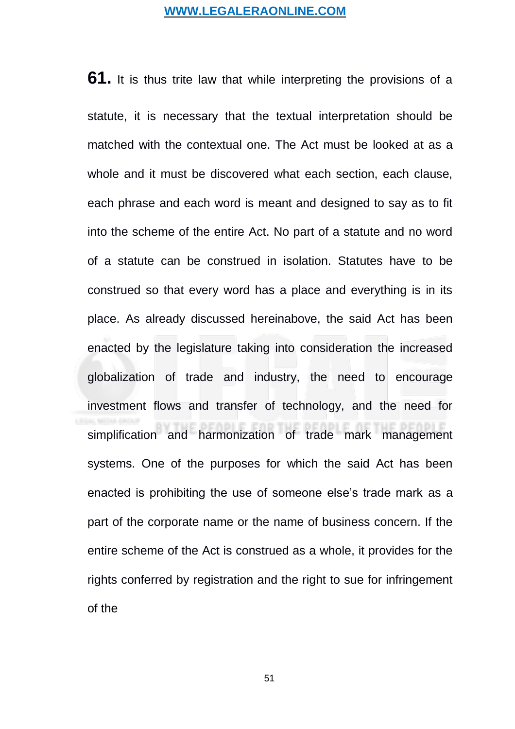**61.** It is thus trite law that while interpreting the provisions of a statute, it is necessary that the textual interpretation should be matched with the contextual one. The Act must be looked at as a whole and it must be discovered what each section, each clause, each phrase and each word is meant and designed to say as to fit into the scheme of the entire Act. No part of a statute and no word of a statute can be construed in isolation. Statutes have to be construed so that every word has a place and everything is in its place. As already discussed hereinabove, the said Act has been enacted by the legislature taking into consideration the increased globalization of trade and industry, the need to encourage investment flows and transfer of technology, and the need for simplification and harmonization of trade mark management systems. One of the purposes for which the said Act has been enacted is prohibiting the use of someone else's trade mark as a part of the corporate name or the name of business concern. If the entire scheme of the Act is construed as a whole, it provides for the rights conferred by registration and the right to sue for infringement of the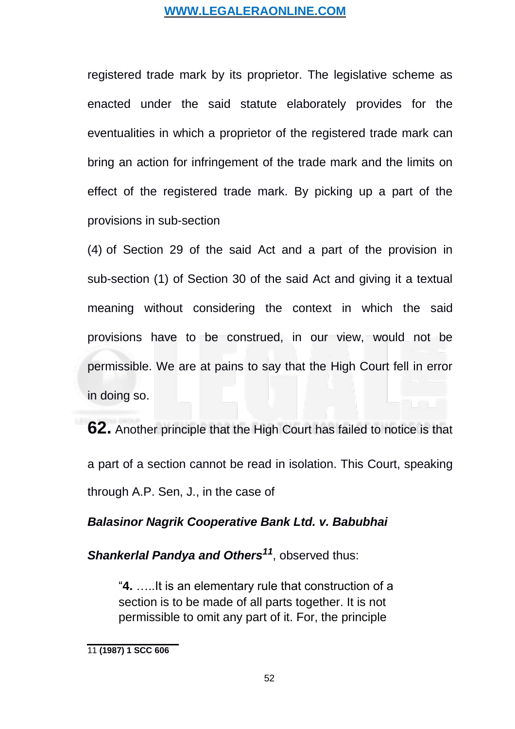<span id="page-51-0"></span>registered trade mark by its proprietor. The legislative scheme as enacted under the said statute elaborately provides for the eventualities in which a proprietor of the registered trade mark can bring an action for infringement of the trade mark and the limits on effect of the registered trade mark. By picking up a part of the provisions in sub-section

(4) of Section 29 of the said Act and a part of the provision in sub-section (1) of Section 30 of the said Act and giving it a textual meaning without considering the context in which the said provisions have to be construed, in our view, would not be permissible. We are at pains to say that the High Court fell in error in doing so.

**62.** Another principle that the High Court has failed to notice is that a part of a section cannot be read in isolation. This Court, speaking through A.P. Sen, J., in the case of

### *Balasinor Nagrik Cooperative Bank Ltd. v. Babubhai*

*Shankerlal Pandya and Others[11](#page-51-0)*, observed thus:

"**4.** …..It is an elementary rule that construction of a section is to be made of all parts together. It is not permissible to omit any part of it. For, the principle

<sup>11</sup> **(1987) 1 SCC 606**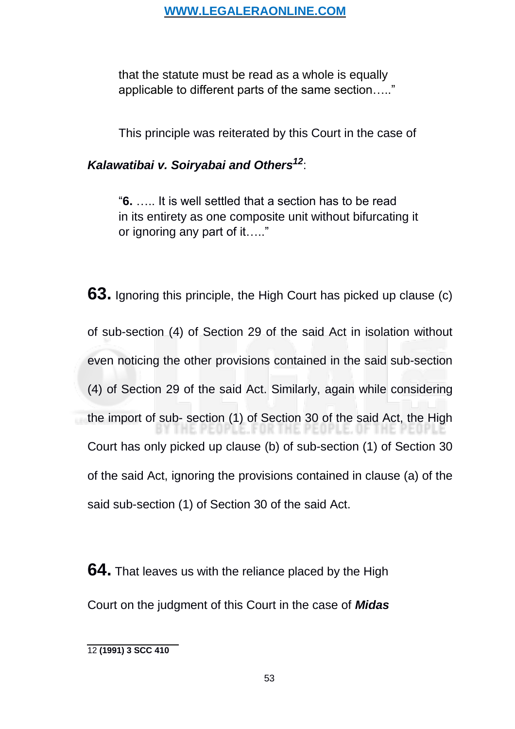<span id="page-52-0"></span>that the statute must be read as a whole is equally applicable to different parts of the same section….."

This principle was reiterated by this Court in the case of

# *Kalawatibai v. Soiryabai and Others[12](#page-52-0)*:

"**6.** ….. It is well settled that a section has to be read in its entirety as one composite unit without bifurcating it or ignoring any part of it….."

**63.** Ignoring this principle, the High Court has picked up clause (c) of sub-section (4) of Section 29 of the said Act in isolation without even noticing the other provisions contained in the said sub-section (4) of Section 29 of the said Act. Similarly, again while considering the import of sub- section (1) of Section 30 of the said Act, the High THE PEOPLE, FOR THE PEOPLE, OF THE. Court has only picked up clause (b) of sub-section (1) of Section 30 of the said Act, ignoring the provisions contained in clause (a) of the said sub-section (1) of Section 30 of the said Act.

**64.** That leaves us with the reliance placed by the High Court on the judgment of this Court in the case of *Midas*

<sup>12</sup> **(1991) 3 SCC 410**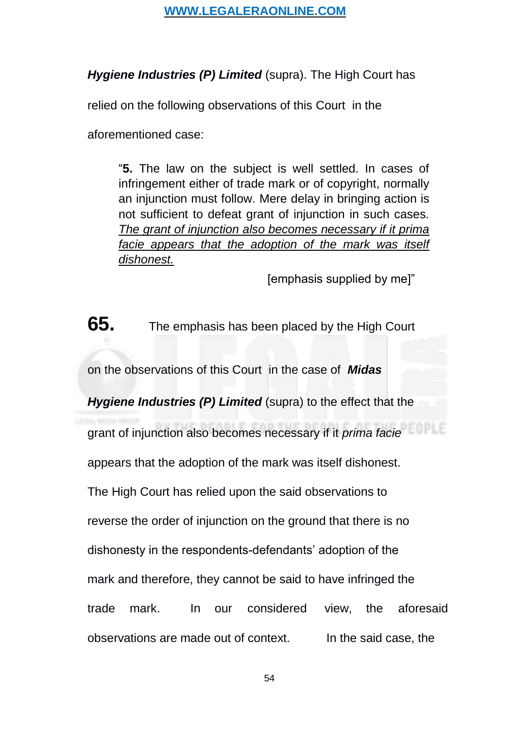*Hygiene Industries (P) Limited* (supra). The High Court has

relied on the following observations of this Court in the

aforementioned case:

"**5.** The law on the subject is well settled. In cases of infringement either of trade mark or of copyright, normally an injunction must follow. Mere delay in bringing action is not sufficient to defeat grant of injunction in such cases. *The grant of injunction also becomes necessary if it prima facie appears that the adoption of the mark was itself dishonest.*

[emphasis supplied by me]"

**65.** The emphasis has been placed by the High Court

on the observations of this Court in the case of *Midas*

*Hygiene Industries (P) Limited* (supra) to the effect that the

grant of injunction also becomes necessary if it *prima facie*

appears that the adoption of the mark was itself dishonest.

The High Court has relied upon the said observations to

reverse the order of injunction on the ground that there is no

dishonesty in the respondents-defendants' adoption of the

mark and therefore, they cannot be said to have infringed the

trade mark. In our considered view, the aforesaid

observations are made out of context. In the said case, the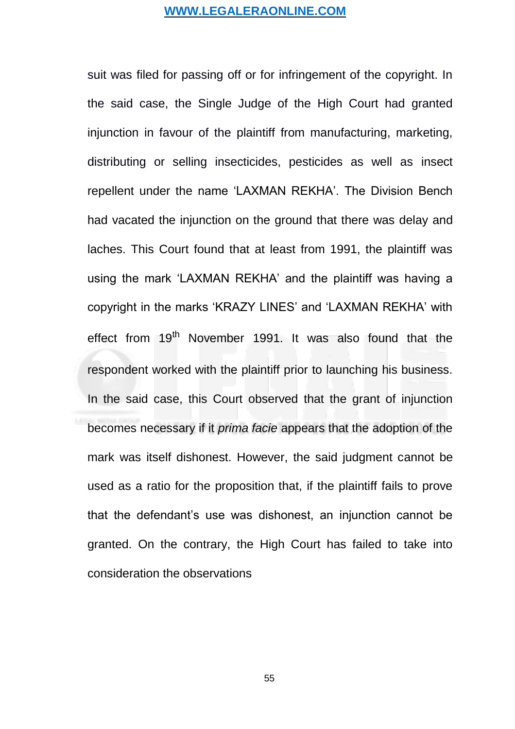suit was filed for passing off or for infringement of the copyright. In the said case, the Single Judge of the High Court had granted injunction in favour of the plaintiff from manufacturing, marketing, distributing or selling insecticides, pesticides as well as insect repellent under the name 'LAXMAN REKHA'. The Division Bench had vacated the injunction on the ground that there was delay and laches. This Court found that at least from 1991, the plaintiff was using the mark 'LAXMAN REKHA' and the plaintiff was having a copyright in the marks 'KRAZY LINES' and 'LAXMAN REKHA' with effect from 19<sup>th</sup> November 1991. It was also found that the respondent worked with the plaintiff prior to launching his business. In the said case, this Court observed that the grant of injunction becomes necessary if it *prima facie* appears that the adoption of the mark was itself dishonest. However, the said judgment cannot be used as a ratio for the proposition that, if the plaintiff fails to prove that the defendant's use was dishonest, an injunction cannot be granted. On the contrary, the High Court has failed to take into consideration the observations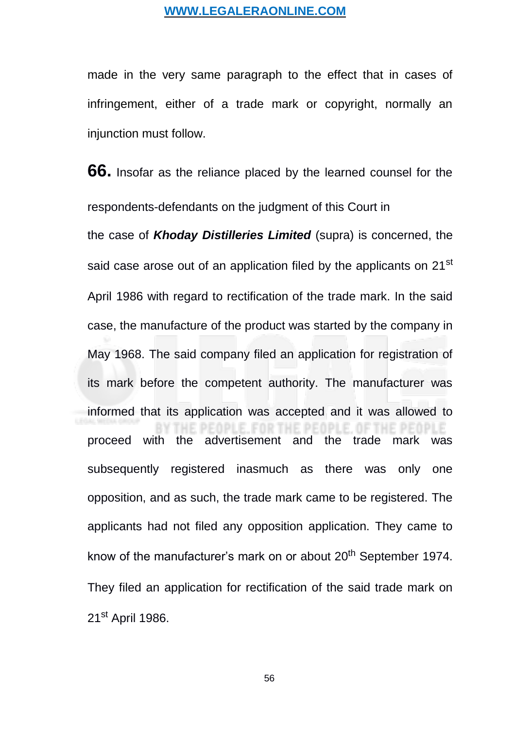made in the very same paragraph to the effect that in cases of infringement, either of a trade mark or copyright, normally an injunction must follow.

**66.** Insofar as the reliance placed by the learned counsel for the respondents-defendants on the judgment of this Court in the case of *Khoday Distilleries Limited* (supra) is concerned, the said case arose out of an application filed by the applicants on 21<sup>st</sup> April 1986 with regard to rectification of the trade mark. In the said case, the manufacture of the product was started by the company in May 1968. The said company filed an application for registration of its mark before the competent authority. The manufacturer was informed that its application was accepted and it was allowed to PLE. FOR THE PEOPLE. OF THE proceed with the advertisement and the trade mark was subsequently registered inasmuch as there was only one opposition, and as such, the trade mark came to be registered. The applicants had not filed any opposition application. They came to know of the manufacturer's mark on or about 20<sup>th</sup> September 1974. They filed an application for rectification of the said trade mark on 21<sup>st</sup> April 1986.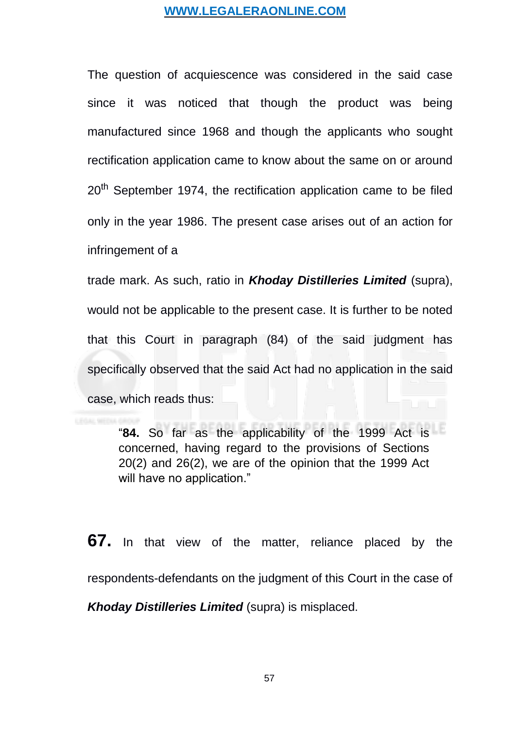The question of acquiescence was considered in the said case since it was noticed that though the product was being manufactured since 1968 and though the applicants who sought rectification application came to know about the same on or around 20<sup>th</sup> September 1974, the rectification application came to be filed only in the year 1986. The present case arises out of an action for infringement of a

trade mark. As such, ratio in *Khoday Distilleries Limited* (supra), would not be applicable to the present case. It is further to be noted that this Court in paragraph (84) of the said judgment has specifically observed that the said Act had no application in the said case, which reads thus:

"**84.** So far as the applicability of the 1999 Act is concerned, having regard to the provisions of Sections 20(2) and 26(2), we are of the opinion that the 1999 Act will have no application."

**67.** In that view of the matter, reliance placed by the respondents-defendants on the judgment of this Court in the case of *Khoday Distilleries Limited* (supra) is misplaced.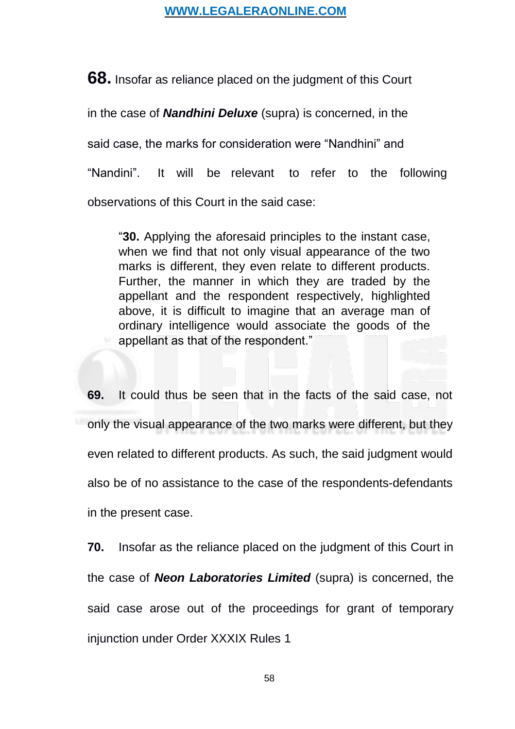**68.** Insofar as reliance placed on the judgment of this Court in the case of *Nandhini Deluxe* (supra) is concerned, in the said case, the marks for consideration were "Nandhini" and "Nandini". It will be relevant to refer to the following observations of this Court in the said case:

"**30.** Applying the aforesaid principles to the instant case, when we find that not only visual appearance of the two marks is different, they even relate to different products. Further, the manner in which they are traded by the appellant and the respondent respectively, highlighted above, it is difficult to imagine that an average man of ordinary intelligence would associate the goods of the appellant as that of the respondent."

**69.** It could thus be seen that in the facts of the said case, not only the visual appearance of the two marks were different, but they even related to different products. As such, the said judgment would also be of no assistance to the case of the respondents-defendants in the present case.

**70.** Insofar as the reliance placed on the judgment of this Court in the case of *Neon Laboratories Limited* (supra) is concerned, the said case arose out of the proceedings for grant of temporary injunction under Order XXXIX Rules 1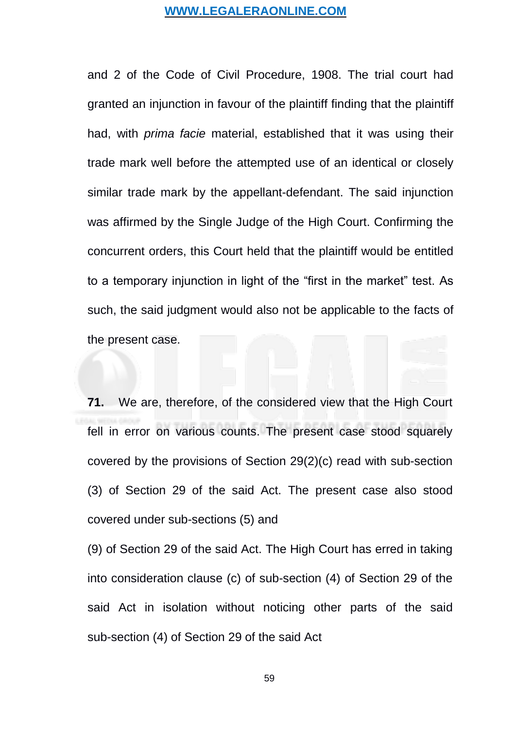and 2 of the Code of Civil Procedure, 1908. The trial court had granted an injunction in favour of the plaintiff finding that the plaintiff had, with *prima facie* material, established that it was using their trade mark well before the attempted use of an identical or closely similar trade mark by the appellant-defendant. The said injunction was affirmed by the Single Judge of the High Court. Confirming the concurrent orders, this Court held that the plaintiff would be entitled to a temporary injunction in light of the "first in the market" test. As such, the said judgment would also not be applicable to the facts of the present case.

**71.** We are, therefore, of the considered view that the High Court fell in error on various counts. The present case stood squarely covered by the provisions of Section 29(2)(c) read with sub-section (3) of Section 29 of the said Act. The present case also stood covered under sub-sections (5) and

(9) of Section 29 of the said Act. The High Court has erred in taking into consideration clause (c) of sub-section (4) of Section 29 of the said Act in isolation without noticing other parts of the said sub-section (4) of Section 29 of the said Act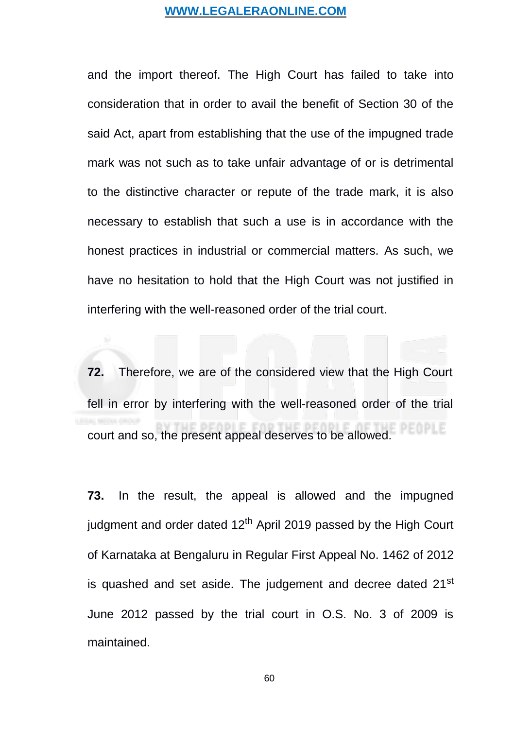and the import thereof. The High Court has failed to take into consideration that in order to avail the benefit of Section 30 of the said Act, apart from establishing that the use of the impugned trade mark was not such as to take unfair advantage of or is detrimental to the distinctive character or repute of the trade mark, it is also necessary to establish that such a use is in accordance with the honest practices in industrial or commercial matters. As such, we have no hesitation to hold that the High Court was not justified in interfering with the well-reasoned order of the trial court.

**72.** Therefore, we are of the considered view that the High Court fell in error by interfering with the well-reasoned order of the trial court and so, the present appeal deserves to be allowed.

**73.** In the result, the appeal is allowed and the impugned judgment and order dated  $12<sup>th</sup>$  April 2019 passed by the High Court of Karnataka at Bengaluru in Regular First Appeal No. 1462 of 2012 is quashed and set aside. The judgement and decree dated 21<sup>st</sup> June 2012 passed by the trial court in O.S. No. 3 of 2009 is maintained.